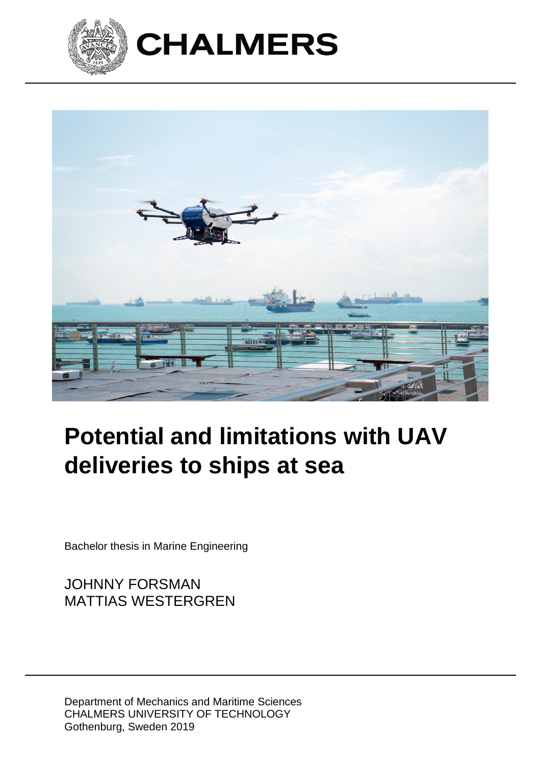



# **Potential and limitations with UAV deliveries to ships at sea**

Bachelor thesis in Marine Engineering

JOHNNY FORSMAN MATTIAS WESTERGREN

Department of Mechanics and Maritime Sciences CHALMERS UNIVERSITY OF TECHNOLOGY Gothenburg, Sweden 2019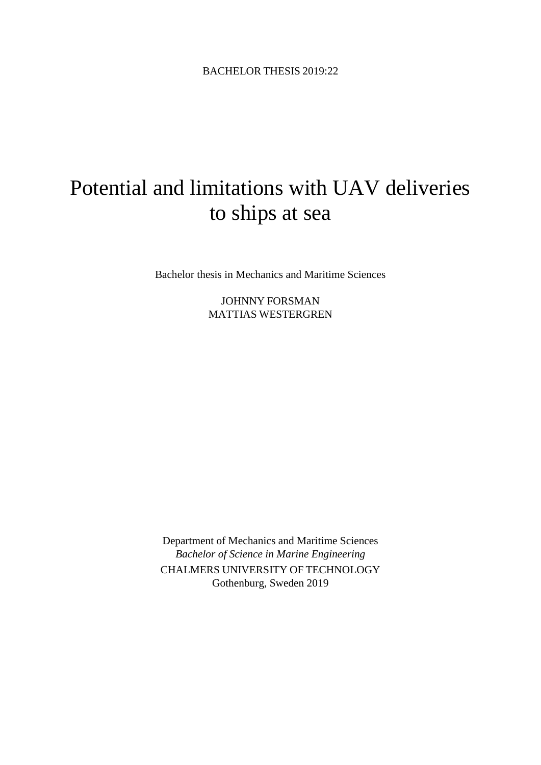## Potential and limitations with UAV deliveries to ships at sea

Bachelor thesis in Mechanics and Maritime Sciences

JOHNNY FORSMAN MATTIAS WESTERGREN

Department of Mechanics and Maritime Sciences *Bachelor of Science in Marine Engineering* CHALMERS UNIVERSITY OF TECHNOLOGY Gothenburg, Sweden 2019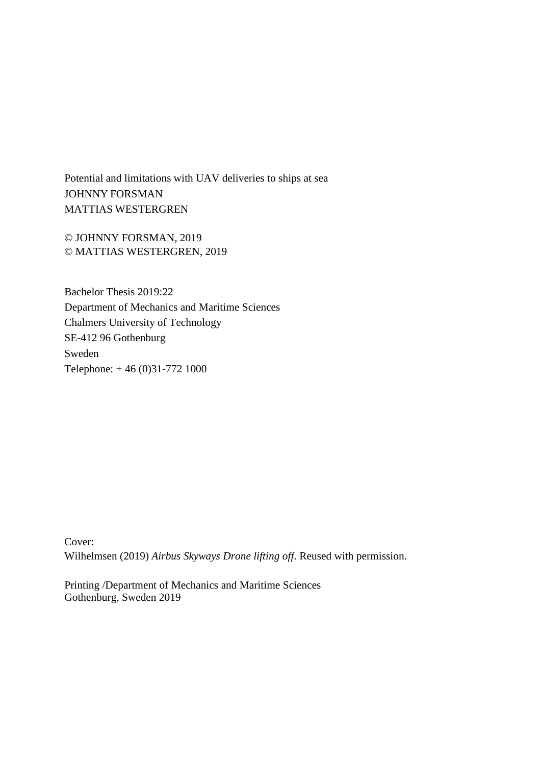Potential and limitations with UAV deliveries to ships at sea JOHNNY FORSMAN MATTIAS WESTERGREN

© JOHNNY FORSMAN, 2019 © MATTIAS WESTERGREN, 2019

Bachelor Thesis 2019:22 Department of Mechanics and Maritime Sciences Chalmers University of Technology SE-412 96 Gothenburg Sweden Telephone: + 46 (0)31-772 1000

Cover: Wilhelmsen (2019) *Airbus Skyways Drone lifting off*. Reused with permission.

Printing /Department of Mechanics and Maritime Sciences Gothenburg, Sweden 2019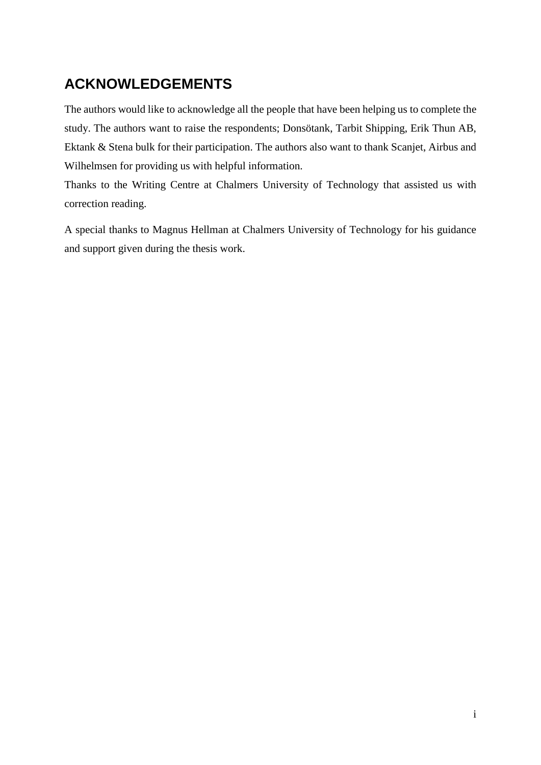## **ACKNOWLEDGEMENTS**

The authors would like to acknowledge all the people that have been helping us to complete the study. The authors want to raise the respondents; Donsötank, Tarbit Shipping, Erik Thun AB, Ektank & Stena bulk for their participation. The authors also want to thank Scanjet, Airbus and Wilhelmsen for providing us with helpful information.

Thanks to the Writing Centre at Chalmers University of Technology that assisted us with correction reading.

A special thanks to Magnus Hellman at Chalmers University of Technology for his guidance and support given during the thesis work.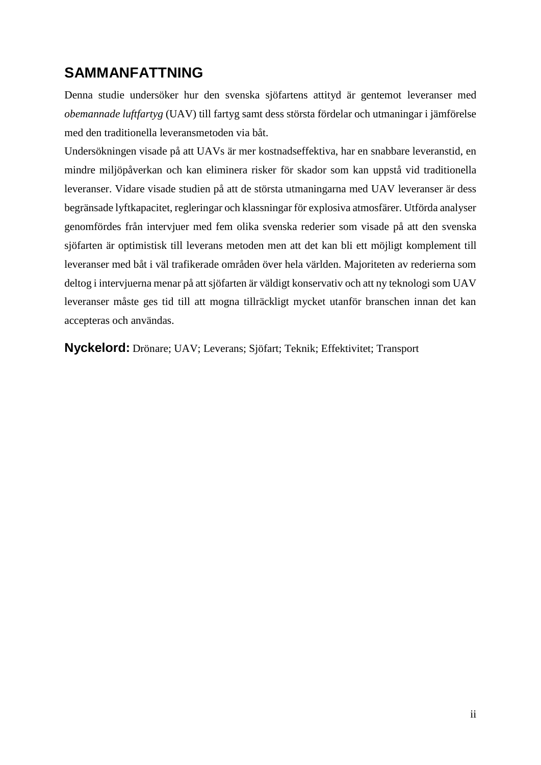## **SAMMANFATTNING**

Denna studie undersöker hur den svenska sjöfartens attityd är gentemot leveranser med *obemannade luftfartyg* (UAV) till fartyg samt dess största fördelar och utmaningar i jämförelse med den traditionella leveransmetoden via båt.

Undersökningen visade på att UAVs är mer kostnadseffektiva, har en snabbare leveranstid, en mindre miljöpåverkan och kan eliminera risker för skador som kan uppstå vid traditionella leveranser. Vidare visade studien på att de största utmaningarna med UAV leveranser är dess begränsade lyftkapacitet, regleringar och klassningar för explosiva atmosfärer. Utförda analyser genomfördes från intervjuer med fem olika svenska rederier som visade på att den svenska sjöfarten är optimistisk till leverans metoden men att det kan bli ett möjligt komplement till leveranser med båt i väl trafikerade områden över hela världen. Majoriteten av rederierna som deltog i intervjuerna menar på att sjöfarten är väldigt konservativ och att ny teknologi som UAV leveranser måste ges tid till att mogna tillräckligt mycket utanför branschen innan det kan accepteras och användas.

**Nyckelord:** Drönare; UAV; Leverans; Sjöfart; Teknik; Effektivitet; Transport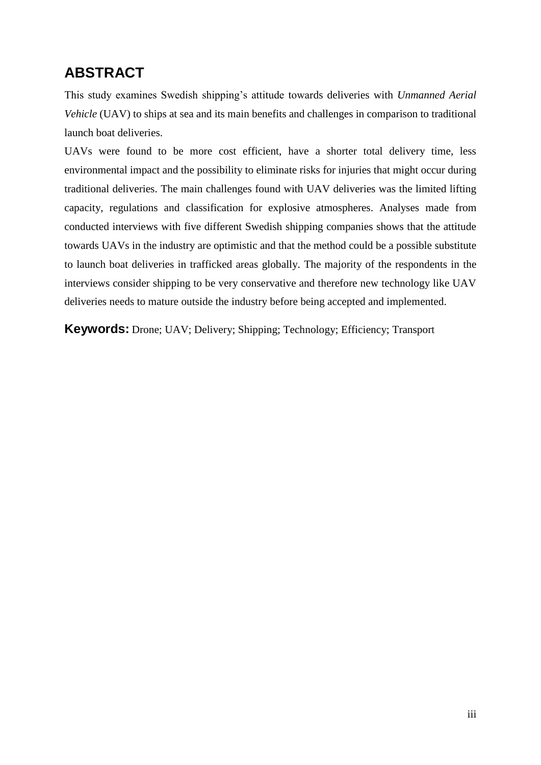## **ABSTRACT**

This study examines Swedish shipping's attitude towards deliveries with *Unmanned Aerial Vehicle* (UAV) to ships at sea and its main benefits and challenges in comparison to traditional launch boat deliveries.

UAVs were found to be more cost efficient, have a shorter total delivery time, less environmental impact and the possibility to eliminate risks for injuries that might occur during traditional deliveries. The main challenges found with UAV deliveries was the limited lifting capacity, regulations and classification for explosive atmospheres. Analyses made from conducted interviews with five different Swedish shipping companies shows that the attitude towards UAVs in the industry are optimistic and that the method could be a possible substitute to launch boat deliveries in trafficked areas globally. The majority of the respondents in the interviews consider shipping to be very conservative and therefore new technology like UAV deliveries needs to mature outside the industry before being accepted and implemented.

**Keywords:** Drone; UAV; Delivery; Shipping; Technology; Efficiency; Transport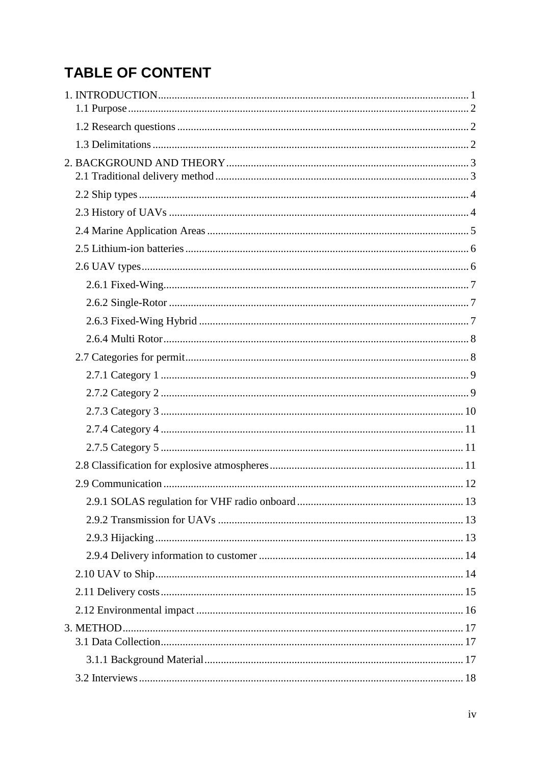## **TABLE OF CONTENT**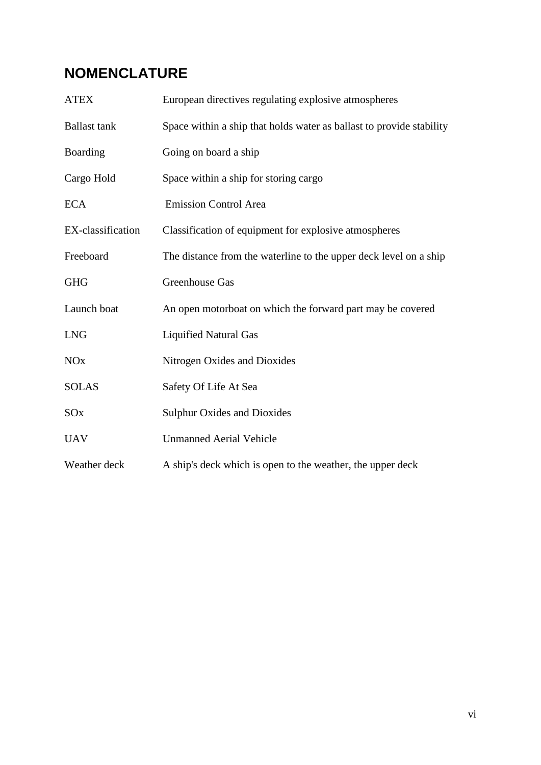## **NOMENCLATURE**

| <b>ATEX</b>           | European directives regulating explosive atmospheres                 |
|-----------------------|----------------------------------------------------------------------|
| <b>Ballast</b> tank   | Space within a ship that holds water as ballast to provide stability |
| Boarding              | Going on board a ship                                                |
| Cargo Hold            | Space within a ship for storing cargo                                |
| <b>ECA</b>            | <b>Emission Control Area</b>                                         |
| EX-classification     | Classification of equipment for explosive atmospheres                |
| Freeboard             | The distance from the waterline to the upper deck level on a ship    |
| <b>GHG</b>            | Greenhouse Gas                                                       |
| Launch boat           | An open motorboat on which the forward part may be covered           |
| <b>LNG</b>            | <b>Liquified Natural Gas</b>                                         |
| <b>NO<sub>x</sub></b> | Nitrogen Oxides and Dioxides                                         |
| <b>SOLAS</b>          | Safety Of Life At Sea                                                |
| SOx                   | <b>Sulphur Oxides and Dioxides</b>                                   |
| <b>UAV</b>            | <b>Unmanned Aerial Vehicle</b>                                       |
| Weather deck          | A ship's deck which is open to the weather, the upper deck           |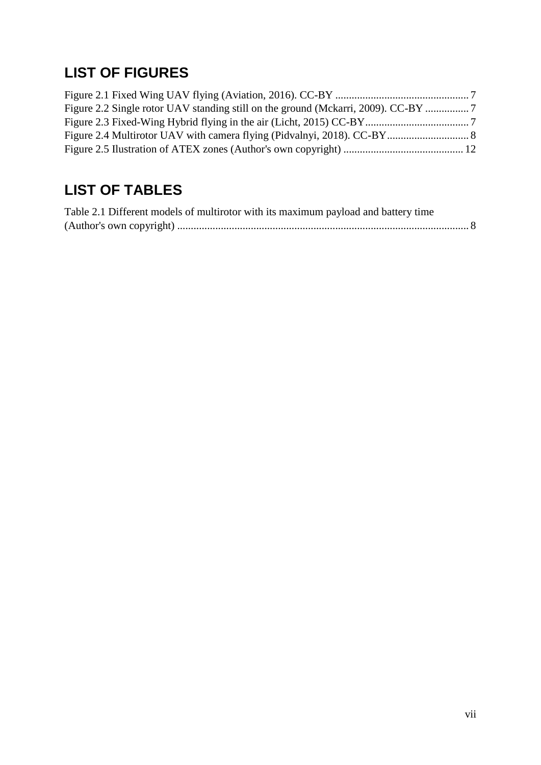## **LIST OF FIGURES**

## **LIST OF TABLES**

| Table 2.1 Different models of multirotor with its maximum payload and battery time |  |
|------------------------------------------------------------------------------------|--|
|                                                                                    |  |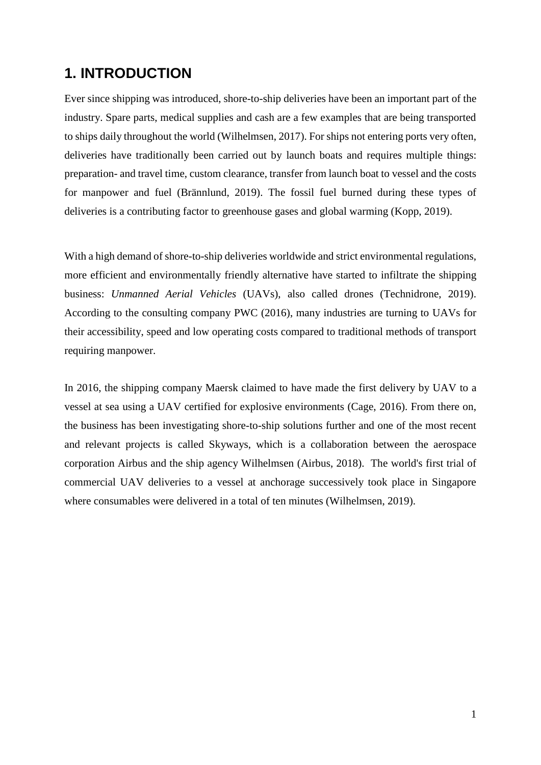## **1. INTRODUCTION**

Ever since shipping was introduced, shore-to-ship deliveries have been an important part of the industry. Spare parts, medical supplies and cash are a few examples that are being transported to ships daily throughout the world (Wilhelmsen, 2017). For ships not entering ports very often, deliveries have traditionally been carried out by launch boats and requires multiple things: preparation- and travel time, custom clearance, transfer from launch boat to vessel and the costs for manpower and fuel (Brännlund, 2019). The fossil fuel burned during these types of deliveries is a contributing factor to greenhouse gases and global warming (Kopp, 2019).

With a high demand of shore-to-ship deliveries worldwide and strict environmental regulations, more efficient and environmentally friendly alternative have started to infiltrate the shipping business: *Unmanned Aerial Vehicles* (UAVs), also called drones (Technidrone, 2019). According to the consulting company PWC (2016), many industries are turning to UAVs for their accessibility, speed and low operating costs compared to traditional methods of transport requiring manpower.

In 2016, the shipping company Maersk claimed to have made the first delivery by UAV to a vessel at sea using a UAV certified for explosive environments (Cage, 2016). From there on, the business has been investigating shore-to-ship solutions further and one of the most recent and relevant projects is called Skyways, which is a collaboration between the aerospace corporation Airbus and the ship agency Wilhelmsen (Airbus, 2018). The world's first trial of commercial UAV deliveries to a vessel at anchorage successively took place in Singapore where consumables were delivered in a total of ten minutes (Wilhelmsen, 2019).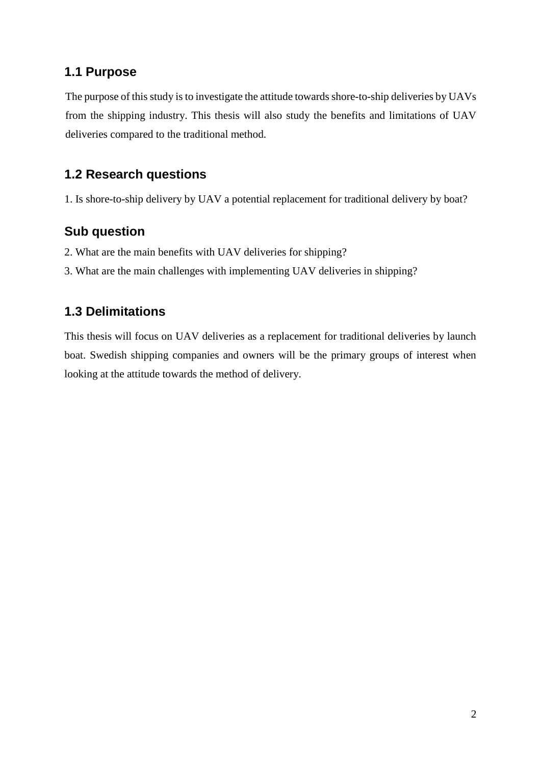### **1.1 Purpose**

The purpose of this study is to investigate the attitude towards shore-to-ship deliveries by UAVs from the shipping industry. This thesis will also study the benefits and limitations of UAV deliveries compared to the traditional method.

## **1.2 Research questions**

1. Is shore-to-ship delivery by UAV a potential replacement for traditional delivery by boat?

## **Sub question**

- 2. What are the main benefits with UAV deliveries for shipping?
- 3. What are the main challenges with implementing UAV deliveries in shipping?

## **1.3 Delimitations**

This thesis will focus on UAV deliveries as a replacement for traditional deliveries by launch boat. Swedish shipping companies and owners will be the primary groups of interest when looking at the attitude towards the method of delivery.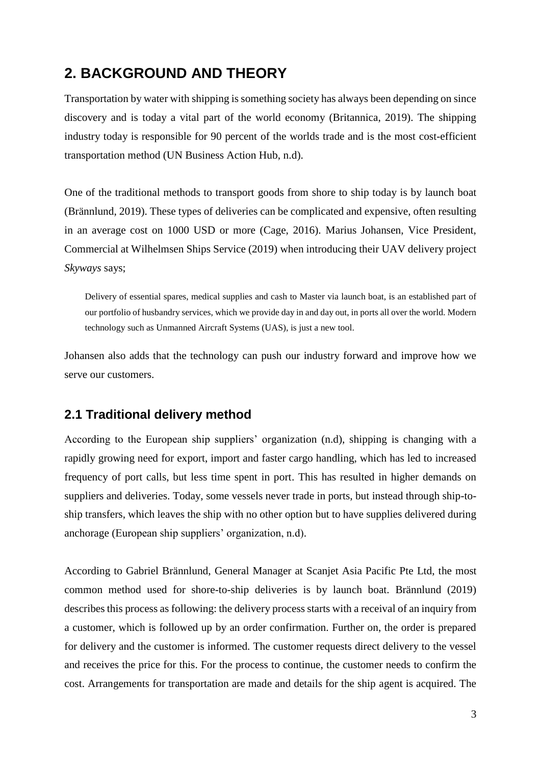## **2. BACKGROUND AND THEORY**

Transportation by water with shipping is something society has always been depending on since discovery and is today a vital part of the world economy (Britannica, 2019). The shipping industry today is responsible for 90 percent of the worlds trade and is the most cost-efficient transportation method (UN Business Action Hub, n.d).

One of the traditional methods to transport goods from shore to ship today is by launch boat (Brännlund, 2019). These types of deliveries can be complicated and expensive, often resulting in an average cost on 1000 USD or more (Cage, 2016). Marius Johansen, Vice President, Commercial at Wilhelmsen Ships Service (2019) when introducing their UAV delivery project *Skyways* says;

Delivery of essential spares, medical supplies and cash to Master via launch boat, is an established part of our portfolio of husbandry services, which we provide day in and day out, in ports all over the world. Modern technology such as Unmanned Aircraft Systems (UAS), is just a new tool.

Johansen also adds that the technology can push our industry forward and improve how we serve our customers.

#### **2.1 Traditional delivery method**

According to the European ship suppliers' organization (n.d), shipping is changing with a rapidly growing need for export, import and faster cargo handling, which has led to increased frequency of port calls, but less time spent in port. This has resulted in higher demands on suppliers and deliveries. Today, some vessels never trade in ports, but instead through ship-toship transfers, which leaves the ship with no other option but to have supplies delivered during anchorage (European ship suppliers' organization, n.d).

According to Gabriel Brännlund, General Manager at Scanjet Asia Pacific Pte Ltd, the most common method used for shore-to-ship deliveries is by launch boat. Brännlund (2019) describes this process as following: the delivery process starts with a receival of an inquiry from a customer, which is followed up by an order confirmation. Further on, the order is prepared for delivery and the customer is informed. The customer requests direct delivery to the vessel and receives the price for this. For the process to continue, the customer needs to confirm the cost. Arrangements for transportation are made and details for the ship agent is acquired. The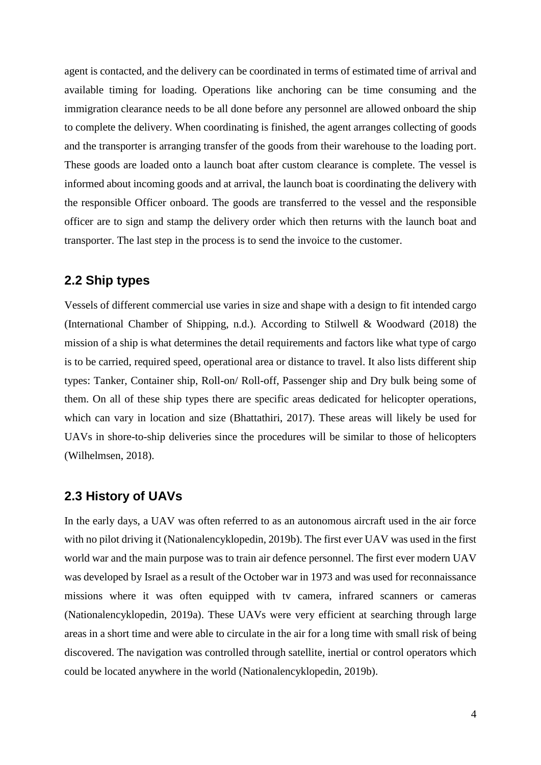agent is contacted, and the delivery can be coordinated in terms of estimated time of arrival and available timing for loading. Operations like anchoring can be time consuming and the immigration clearance needs to be all done before any personnel are allowed onboard the ship to complete the delivery. When coordinating is finished, the agent arranges collecting of goods and the transporter is arranging transfer of the goods from their warehouse to the loading port. These goods are loaded onto a launch boat after custom clearance is complete. The vessel is informed about incoming goods and at arrival, the launch boat is coordinating the delivery with the responsible Officer onboard. The goods are transferred to the vessel and the responsible officer are to sign and stamp the delivery order which then returns with the launch boat and transporter. The last step in the process is to send the invoice to the customer.

#### **2.2 Ship types**

Vessels of different commercial use varies in size and shape with a design to fit intended cargo (International Chamber of Shipping, n.d.). According to Stilwell & Woodward (2018) the mission of a ship is what determines the detail requirements and factors like what type of cargo is to be carried, required speed, operational area or distance to travel. It also lists different ship types: Tanker, Container ship, Roll-on/ Roll-off, Passenger ship and Dry bulk being some of them. On all of these ship types there are specific areas dedicated for helicopter operations, which can vary in location and size (Bhattathiri, 2017). These areas will likely be used for UAVs in shore-to-ship deliveries since the procedures will be similar to those of helicopters (Wilhelmsen, 2018).

#### **2.3 History of UAVs**

In the early days, a UAV was often referred to as an autonomous aircraft used in the air force with no pilot driving it (Nationalencyklopedin, 2019b). The first ever UAV was used in the first world war and the main purpose was to train air defence personnel. The first ever modern UAV was developed by Israel as a result of the October war in 1973 and was used for reconnaissance missions where it was often equipped with tv camera, infrared scanners or cameras (Nationalencyklopedin, 2019a). These UAVs were very efficient at searching through large areas in a short time and were able to circulate in the air for a long time with small risk of being discovered. The navigation was controlled through satellite, inertial or control operators which could be located anywhere in the world (Nationalencyklopedin, 2019b).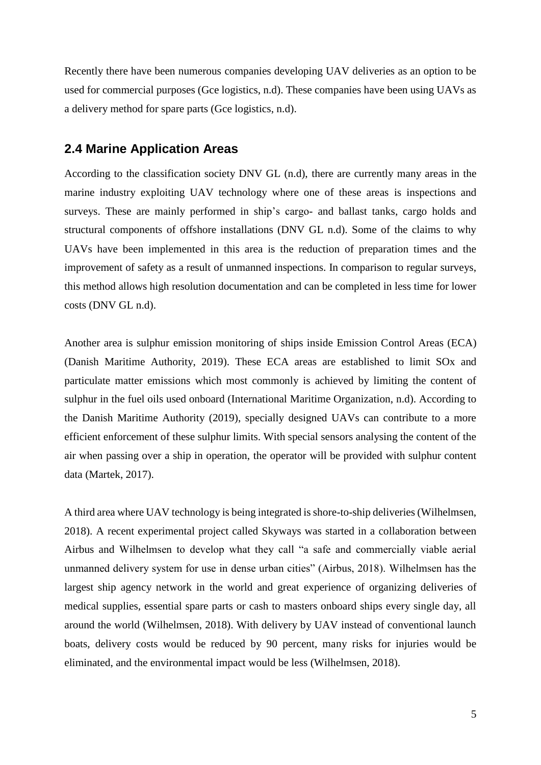Recently there have been numerous companies developing UAV deliveries as an option to be used for commercial purposes (Gce logistics, n.d). These companies have been using UAVs as a delivery method for spare parts (Gce logistics, n.d).

#### **2.4 Marine Application Areas**

According to the classification society DNV GL (n.d), there are currently many areas in the marine industry exploiting UAV technology where one of these areas is inspections and surveys. These are mainly performed in ship's cargo- and ballast tanks, cargo holds and structural components of offshore installations (DNV GL n.d). Some of the claims to why UAVs have been implemented in this area is the reduction of preparation times and the improvement of safety as a result of unmanned inspections. In comparison to regular surveys, this method allows high resolution documentation and can be completed in less time for lower costs (DNV GL n.d).

Another area is sulphur emission monitoring of ships inside Emission Control Areas (ECA) (Danish Maritime Authority, 2019). These ECA areas are established to limit SOx and particulate matter emissions which most commonly is achieved by limiting the content of sulphur in the fuel oils used onboard (International Maritime Organization, n.d). According to the Danish Maritime Authority (2019), specially designed UAVs can contribute to a more efficient enforcement of these sulphur limits. With special sensors analysing the content of the air when passing over a ship in operation, the operator will be provided with sulphur content data (Martek, 2017).

A third area where UAV technology is being integrated is shore-to-ship deliveries (Wilhelmsen, 2018). A recent experimental project called Skyways was started in a collaboration between Airbus and Wilhelmsen to develop what they call "a safe and commercially viable aerial unmanned delivery system for use in dense urban cities" (Airbus, 2018). Wilhelmsen has the largest ship agency network in the world and great experience of organizing deliveries of medical supplies, essential spare parts or cash to masters onboard ships every single day, all around the world (Wilhelmsen, 2018). With delivery by UAV instead of conventional launch boats, delivery costs would be reduced by 90 percent, many risks for injuries would be eliminated, and the environmental impact would be less (Wilhelmsen, 2018).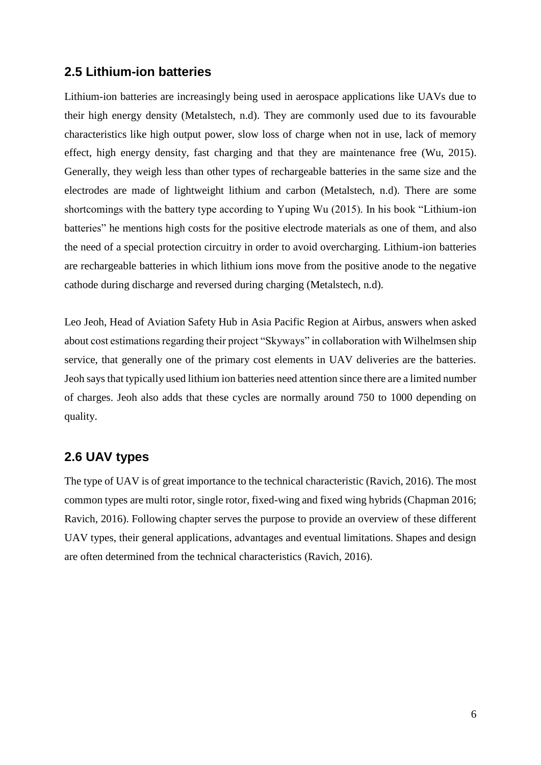#### **2.5 Lithium-ion batteries**

Lithium-ion batteries are increasingly being used in aerospace applications like UAVs due to their high energy density (Metalstech, n.d). They are commonly used due to its favourable characteristics like high output power, slow loss of charge when not in use, lack of memory effect, high energy density, fast charging and that they are maintenance free (Wu, 2015). Generally, they weigh less than other types of rechargeable batteries in the same size and the electrodes are made of lightweight lithium and carbon (Metalstech, n.d). There are some shortcomings with the battery type according to Yuping Wu (2015). In his book "Lithium-ion batteries" he mentions high costs for the positive electrode materials as one of them, and also the need of a special protection circuitry in order to avoid overcharging. Lithium-ion batteries are rechargeable batteries in which lithium ions move from the positive anode to the negative cathode during discharge and reversed during charging (Metalstech, n.d).

Leo Jeoh, Head of Aviation Safety Hub in Asia Pacific Region at Airbus, answers when asked about cost estimations regarding their project "Skyways" in collaboration with Wilhelmsen ship service, that generally one of the primary cost elements in UAV deliveries are the batteries. Jeoh says that typically used lithium ion batteries need attention since there are a limited number of charges. Jeoh also adds that these cycles are normally around 750 to 1000 depending on quality.

## **2.6 UAV types**

The type of UAV is of great importance to the technical characteristic (Ravich, 2016). The most common types are multi rotor, single rotor, fixed-wing and fixed wing hybrids (Chapman 2016; Ravich, 2016). Following chapter serves the purpose to provide an overview of these different UAV types, their general applications, advantages and eventual limitations. Shapes and design are often determined from the technical characteristics (Ravich, 2016).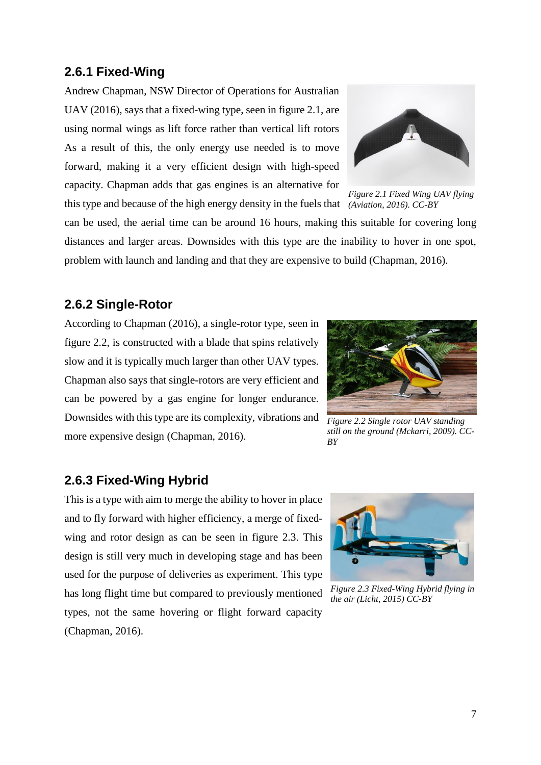#### **2.6.1 Fixed-Wing**

Andrew Chapman, NSW Director of Operations for Australian UAV (2016), says that a fixed-wing type, seen in figure 2.1, are using normal wings as lift force rather than vertical lift rotors As a result of this, the only energy use needed is to move forward, making it a very efficient design with high-speed capacity. Chapman adds that gas engines is an alternative for this type and because of the high energy density in the fuels that *(Aviation, 2016). CC-BY*



*Figure 2.1 Fixed Wing UAV flying* 

can be used, the aerial time can be around 16 hours, making this suitable for covering long distances and larger areas. Downsides with this type are the inability to hover in one spot, problem with launch and landing and that they are expensive to build (Chapman, 2016).

#### **2.6.2 Single-Rotor**

According to Chapman (2016), a single-rotor type, seen in figure 2.2, is constructed with a blade that spins relatively slow and it is typically much larger than other UAV types. Chapman also says that single-rotors are very efficient and can be powered by a gas engine for longer endurance. Downsides with this type are its complexity, vibrations and more expensive design (Chapman, 2016).



*Figure 2.2 Single rotor UAV standing still on the ground (Mckarri, 2009). CC-BY*

#### **2.6.3 Fixed-Wing Hybrid**

This is a type with aim to merge the ability to hover in place and to fly forward with higher efficiency, a merge of fixedwing and rotor design as can be seen in figure 2.3. This design is still very much in developing stage and has been used for the purpose of deliveries as experiment. This type has long flight time but compared to previously mentioned types, not the same hovering or flight forward capacity (Chapman, 2016).



*Figure 2.3 Fixed-Wing Hybrid flying in the air (Licht, 2015) CC-BY*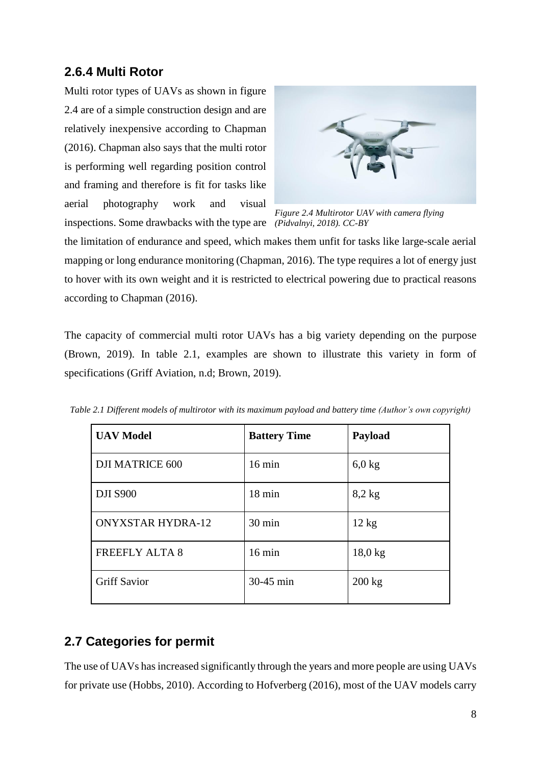### **2.6.4 Multi Rotor**

Multi rotor types of UAVs as shown in figure 2.4 are of a simple construction design and are relatively inexpensive according to Chapman (2016). Chapman also says that the multi rotor is performing well regarding position control and framing and therefore is fit for tasks like aerial photography work and visual inspections. Some drawbacks with the type are *(Pidvalnyi, 2018). CC-BY*



*Figure 2.4 Multirotor UAV with camera flying* 

the limitation of endurance and speed, which makes them unfit for tasks like large-scale aerial mapping or long endurance monitoring (Chapman, 2016). The type requires a lot of energy just to hover with its own weight and it is restricted to electrical powering due to practical reasons according to Chapman (2016).

The capacity of commercial multi rotor UAVs has a big variety depending on the purpose (Brown, 2019). In table 2.1, examples are shown to illustrate this variety in form of specifications (Griff Aviation, n.d; Brown, 2019).

| <b>UAV Model</b>         | <b>Battery Time</b> | Payload         |
|--------------------------|---------------------|-----------------|
| <b>DJI MATRICE 600</b>   | $16 \text{ min}$    | $6,0$ kg        |
| <b>DJI S900</b>          | $18 \text{ min}$    | $8,2$ kg        |
| <b>ONYXSTAR HYDRA-12</b> | $30 \text{ min}$    | $12 \text{ kg}$ |
| <b>FREEFLY ALTA 8</b>    | $16 \text{ min}$    | $18,0$ kg       |
| <b>Griff Savior</b>      | 30-45 min           | $200$ kg        |

*Table 2.1 Different models of multirotor with its maximum payload and battery time (Author's own copyright)*

### **2.7 Categories for permit**

The use of UAVs has increased significantly through the years and more people are using UAVs for private use (Hobbs, 2010). According to Hofverberg (2016), most of the UAV models carry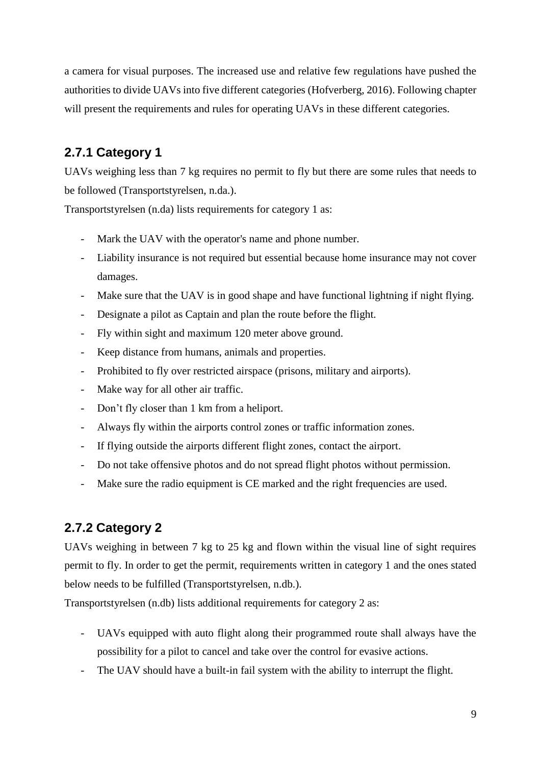a camera for visual purposes. The increased use and relative few regulations have pushed the authorities to divide UAVs into five different categories (Hofverberg, 2016). Following chapter will present the requirements and rules for operating UAVs in these different categories.

## **2.7.1 Category 1**

UAVs weighing less than 7 kg requires no permit to fly but there are some rules that needs to be followed (Transportstyrelsen, n.da.).

Transportstyrelsen (n.da) lists requirements for category 1 as:

- Mark the UAV with the operator's name and phone number.
- Liability insurance is not required but essential because home insurance may not cover damages.
- Make sure that the UAV is in good shape and have functional lightning if night flying.
- Designate a pilot as Captain and plan the route before the flight.
- Fly within sight and maximum 120 meter above ground.
- Keep distance from humans, animals and properties.
- Prohibited to fly over restricted airspace (prisons, military and airports).
- Make way for all other air traffic.
- Don't fly closer than 1 km from a heliport.
- Always fly within the airports control zones or traffic information zones.
- If flying outside the airports different flight zones, contact the airport.
- Do not take offensive photos and do not spread flight photos without permission.
- Make sure the radio equipment is CE marked and the right frequencies are used.

## **2.7.2 Category 2**

UAVs weighing in between 7 kg to 25 kg and flown within the visual line of sight requires permit to fly. In order to get the permit, requirements written in category 1 and the ones stated below needs to be fulfilled (Transportstyrelsen, n.db.).

Transportstyrelsen (n.db) lists additional requirements for category 2 as:

- UAVs equipped with auto flight along their programmed route shall always have the possibility for a pilot to cancel and take over the control for evasive actions.
- The UAV should have a built-in fail system with the ability to interrupt the flight.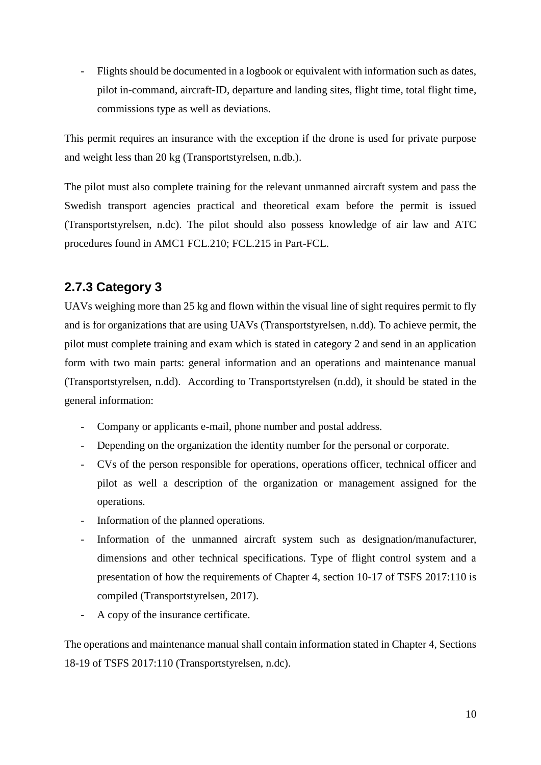- Flights should be documented in a logbook or equivalent with information such as dates, pilot in-command, aircraft-ID, departure and landing sites, flight time, total flight time, commissions type as well as deviations.

This permit requires an insurance with the exception if the drone is used for private purpose and weight less than 20 kg (Transportstyrelsen, n.db.).

The pilot must also complete training for the relevant unmanned aircraft system and pass the Swedish transport agencies practical and theoretical exam before the permit is issued (Transportstyrelsen, n.dc). The pilot should also possess knowledge of air law and ATC procedures found in AMC1 FCL.210; FCL.215 in Part-FCL.

## **2.7.3 Category 3**

UAVs weighing more than 25 kg and flown within the visual line of sight requires permit to fly and is for organizations that are using UAVs (Transportstyrelsen, n.dd). To achieve permit, the pilot must complete training and exam which is stated in category 2 and send in an application form with two main parts: general information and an operations and maintenance manual (Transportstyrelsen, n.dd). According to Transportstyrelsen (n.dd), it should be stated in the general information:

- Company or applicants e-mail, phone number and postal address.
- Depending on the organization the identity number for the personal or corporate.
- CVs of the person responsible for operations, operations officer, technical officer and pilot as well a description of the organization or management assigned for the operations.
- Information of the planned operations.
- Information of the unmanned aircraft system such as designation/manufacturer, dimensions and other technical specifications. Type of flight control system and a presentation of how the requirements of Chapter 4, section 10-17 of TSFS 2017:110 is compiled (Transportstyrelsen, 2017).
- A copy of the insurance certificate.

The operations and maintenance manual shall contain information stated in Chapter 4, Sections 18-19 of TSFS 2017:110 (Transportstyrelsen, n.dc).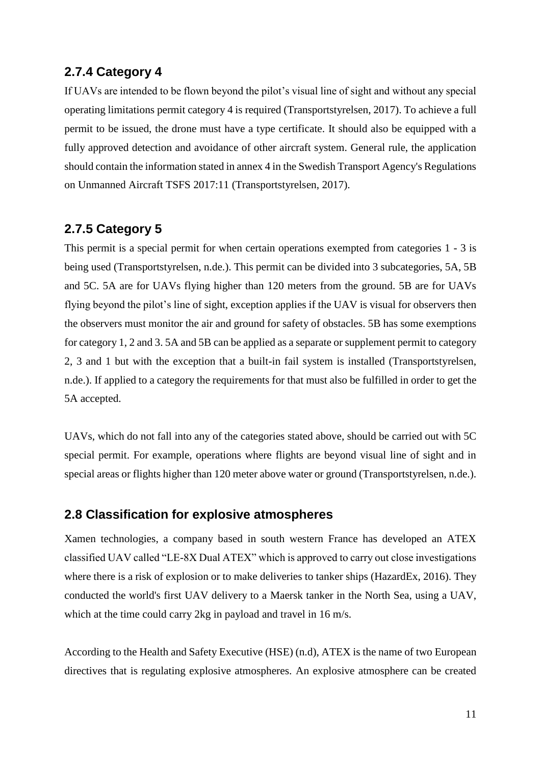#### **2.7.4 Category 4**

If UAVs are intended to be flown beyond the pilot's visual line of sight and without any special operating limitations permit category 4 is required (Transportstyrelsen, 2017). To achieve a full permit to be issued, the drone must have a type certificate. It should also be equipped with a fully approved detection and avoidance of other aircraft system. General rule, the application should contain the information stated in annex 4 in the Swedish Transport Agency's Regulations on Unmanned Aircraft TSFS 2017:11 (Transportstyrelsen, 2017).

#### **2.7.5 Category 5**

This permit is a special permit for when certain operations exempted from categories 1 - 3 is being used (Transportstyrelsen, n.de.). This permit can be divided into 3 subcategories, 5A, 5B and 5C. 5A are for UAVs flying higher than 120 meters from the ground. 5B are for UAVs flying beyond the pilot's line of sight, exception applies if the UAV is visual for observers then the observers must monitor the air and ground for safety of obstacles. 5B has some exemptions for category 1, 2 and 3. 5A and 5B can be applied as a separate or supplement permit to category 2, 3 and 1 but with the exception that a built-in fail system is installed (Transportstyrelsen, n.de.). If applied to a category the requirements for that must also be fulfilled in order to get the 5A accepted.

UAVs, which do not fall into any of the categories stated above, should be carried out with 5C special permit. For example, operations where flights are beyond visual line of sight and in special areas or flights higher than 120 meter above water or ground (Transportstyrelsen, n.de.).

#### **2.8 Classification for explosive atmospheres**

Xamen technologies, a company based in south western France has developed an ATEX classified UAV called "LE-8X Dual ATEX" which is approved to carry out close investigations where there is a risk of explosion or to make deliveries to tanker ships (HazardEx, 2016). They conducted the world's first UAV delivery to a Maersk tanker in the North Sea, using a UAV, which at the time could carry 2kg in payload and travel in 16 m/s.

According to the Health and Safety Executive (HSE) (n.d), ATEX is the name of two European directives that is regulating explosive atmospheres. An explosive atmosphere can be created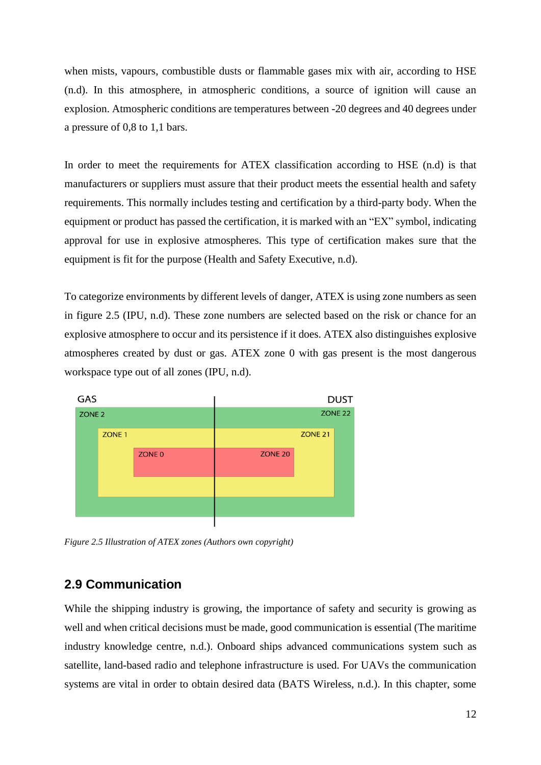when mists, vapours, combustible dusts or flammable gases mix with air, according to HSE (n.d). In this atmosphere, in atmospheric conditions, a source of ignition will cause an explosion. Atmospheric conditions are temperatures between -20 degrees and 40 degrees under a pressure of 0,8 to 1,1 bars.

In order to meet the requirements for ATEX classification according to HSE (n.d) is that manufacturers or suppliers must assure that their product meets the essential health and safety requirements. This normally includes testing and certification by a third-party body. When the equipment or product has passed the certification, it is marked with an "EX" symbol, indicating approval for use in explosive atmospheres. This type of certification makes sure that the equipment is fit for the purpose (Health and Safety Executive, n.d).

To categorize environments by different levels of danger, ATEX is using zone numbers as seen in figure 2.5 (IPU, n.d). These zone numbers are selected based on the risk or chance for an explosive atmosphere to occur and its persistence if it does. ATEX also distinguishes explosive atmospheres created by dust or gas. ATEX zone 0 with gas present is the most dangerous workspace type out of all zones (IPU, n.d).



*Figure 2.5 Illustration of ATEX zones (Authors own copyright)*

#### **2.9 Communication**

While the shipping industry is growing, the importance of safety and security is growing as well and when critical decisions must be made, good communication is essential (The maritime industry knowledge centre, n.d.). Onboard ships advanced communications system such as satellite, land-based radio and telephone infrastructure is used. For UAVs the communication systems are vital in order to obtain desired data (BATS Wireless, n.d.). In this chapter, some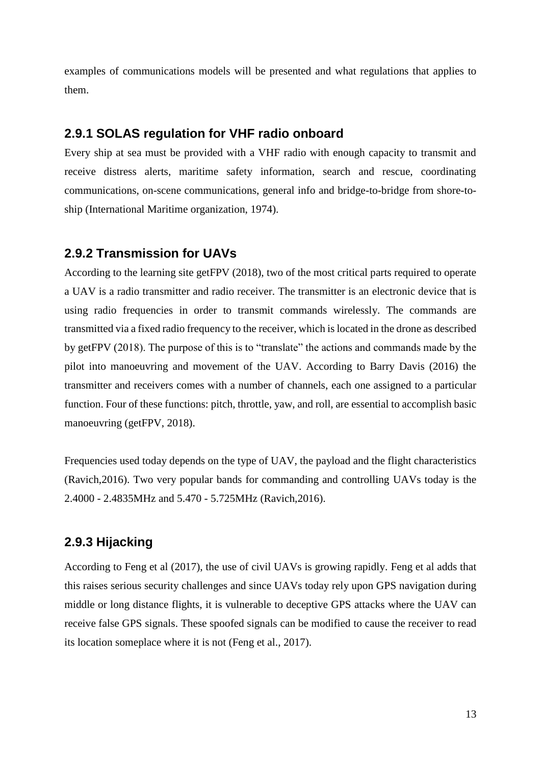examples of communications models will be presented and what regulations that applies to them.

#### **2.9.1 SOLAS regulation for VHF radio onboard**

Every ship at sea must be provided with a VHF radio with enough capacity to transmit and receive distress alerts, maritime safety information, search and rescue, coordinating communications, on-scene communications, general info and bridge-to-bridge from shore-toship (International Maritime organization, 1974).

#### **2.9.2 Transmission for UAVs**

According to the learning site getFPV (2018), two of the most critical parts required to operate a UAV is a radio transmitter and radio receiver. The transmitter is an electronic device that is using radio frequencies in order to transmit commands wirelessly. The commands are transmitted via a fixed radio frequency to the receiver, which is located in the drone as described by getFPV (2018). The purpose of this is to "translate" the actions and commands made by the pilot into manoeuvring and movement of the UAV. According to Barry Davis (2016) the transmitter and receivers comes with a number of channels, each one assigned to a particular function. Four of these functions: pitch, throttle, yaw, and roll, are essential to accomplish basic manoeuvring (getFPV, 2018).

Frequencies used today depends on the type of UAV, the payload and the flight characteristics (Ravich,2016). Two very popular bands for commanding and controlling UAVs today is the 2.4000 - 2.4835MHz and 5.470 - 5.725MHz (Ravich,2016).

### **2.9.3 Hijacking**

According to Feng et al (2017), the use of civil UAVs is growing rapidly. Feng et al adds that this raises serious security challenges and since UAVs today rely upon GPS navigation during middle or long distance flights, it is vulnerable to deceptive GPS attacks where the UAV can receive false GPS signals. These spoofed signals can be modified to cause the receiver to read its location someplace where it is not (Feng et al., 2017).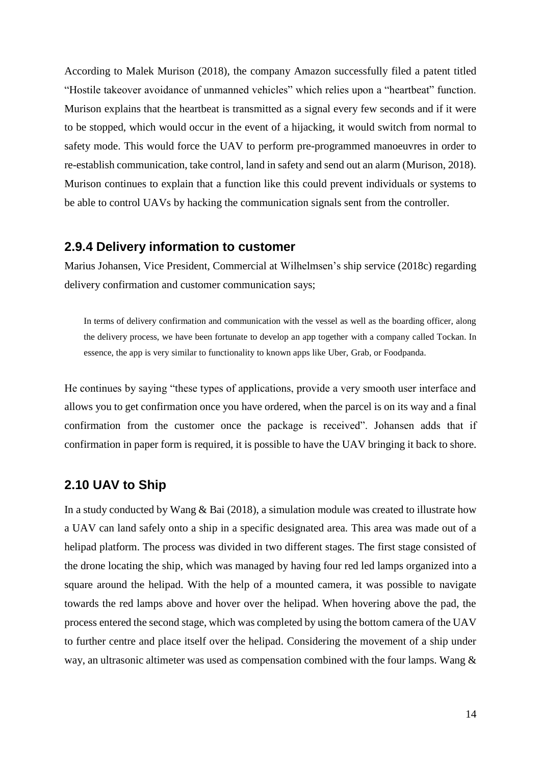According to Malek Murison (2018), the company Amazon successfully filed a patent titled "Hostile takeover avoidance of unmanned vehicles" which relies upon a "heartbeat" function. Murison explains that the heartbeat is transmitted as a signal every few seconds and if it were to be stopped, which would occur in the event of a hijacking, it would switch from normal to safety mode. This would force the UAV to perform pre-programmed manoeuvres in order to re-establish communication, take control, land in safety and send out an alarm (Murison, 2018). Murison continues to explain that a function like this could prevent individuals or systems to be able to control UAVs by hacking the communication signals sent from the controller.

#### **2.9.4 Delivery information to customer**

Marius Johansen, Vice President, Commercial at Wilhelmsen's ship service (2018c) regarding delivery confirmation and customer communication says;

In terms of delivery confirmation and communication with the vessel as well as the boarding officer, along the delivery process, we have been fortunate to develop an app together with a company called Tockan. In essence, the app is very similar to functionality to known apps like Uber, Grab, or Foodpanda.

He continues by saying "these types of applications, provide a very smooth user interface and allows you to get confirmation once you have ordered, when the parcel is on its way and a final confirmation from the customer once the package is received". Johansen adds that if confirmation in paper form is required, it is possible to have the UAV bringing it back to shore.

#### **2.10 UAV to Ship**

In a study conducted by Wang & Bai (2018), a simulation module was created to illustrate how a UAV can land safely onto a ship in a specific designated area. This area was made out of a helipad platform. The process was divided in two different stages. The first stage consisted of the drone locating the ship, which was managed by having four red led lamps organized into a square around the helipad. With the help of a mounted camera, it was possible to navigate towards the red lamps above and hover over the helipad. When hovering above the pad, the process entered the second stage, which was completed by using the bottom camera of the UAV to further centre and place itself over the helipad. Considering the movement of a ship under way, an ultrasonic altimeter was used as compensation combined with the four lamps. Wang &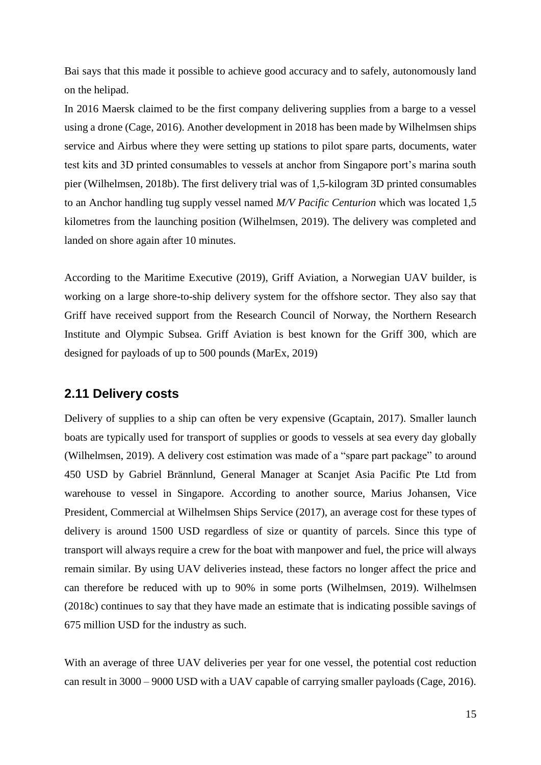Bai says that this made it possible to achieve good accuracy and to safely, autonomously land on the helipad.

In 2016 Maersk claimed to be the first company delivering supplies from a barge to a vessel using a drone (Cage, 2016). Another development in 2018 has been made by Wilhelmsen ships service and Airbus where they were setting up stations to pilot spare parts, documents, water test kits and 3D printed consumables to vessels at anchor from Singapore port's marina south pier (Wilhelmsen, 2018b). The first delivery trial was of 1,5-kilogram 3D printed consumables to an Anchor handling tug supply vessel named *M/V Pacific Centurion* which was located 1,5 kilometres from the launching position (Wilhelmsen, 2019). The delivery was completed and landed on shore again after 10 minutes.

According to the Maritime Executive (2019), Griff Aviation, a Norwegian UAV builder, is working on a large shore-to-ship delivery system for the offshore sector. They also say that Griff have received support from the Research Council of Norway, the Northern Research Institute and Olympic Subsea. Griff Aviation is best known for the Griff 300, which are designed for payloads of up to 500 pounds (MarEx, 2019)

#### **2.11 Delivery costs**

Delivery of supplies to a ship can often be very expensive (Gcaptain, 2017). Smaller launch boats are typically used for transport of supplies or goods to vessels at sea every day globally (Wilhelmsen, 2019). A delivery cost estimation was made of a "spare part package" to around 450 USD by Gabriel Brännlund, General Manager at Scanjet Asia Pacific Pte Ltd from warehouse to vessel in Singapore. According to another source, Marius Johansen, Vice President, Commercial at Wilhelmsen Ships Service (2017), an average cost for these types of delivery is around 1500 USD regardless of size or quantity of parcels. Since this type of transport will always require a crew for the boat with manpower and fuel, the price will always remain similar. By using UAV deliveries instead, these factors no longer affect the price and can therefore be reduced with up to 90% in some ports (Wilhelmsen, 2019). Wilhelmsen (2018c) continues to say that they have made an estimate that is indicating possible savings of 675 million USD for the industry as such.

With an average of three UAV deliveries per year for one vessel, the potential cost reduction can result in 3000 – 9000 USD with a UAV capable of carrying smaller payloads (Cage, 2016).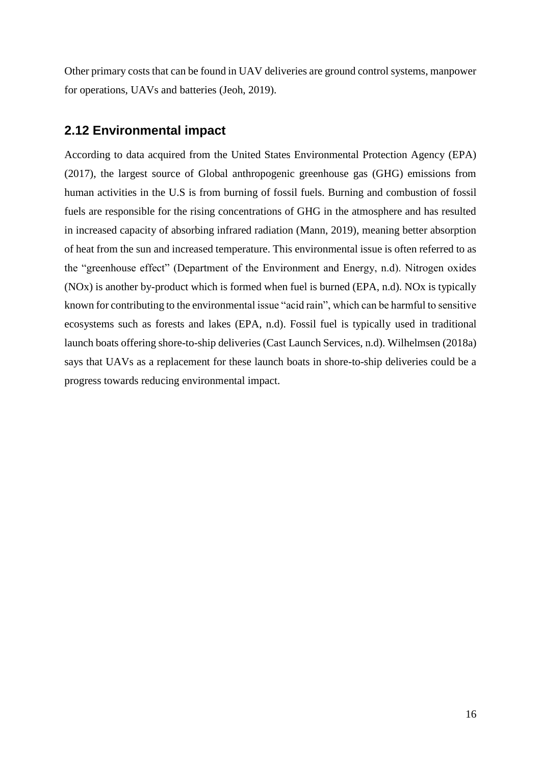Other primary costs that can be found in UAV deliveries are ground control systems, manpower for operations, UAVs and batteries (Jeoh, 2019).

#### **2.12 Environmental impact**

According to data acquired from the United States Environmental Protection Agency (EPA) (2017), the largest source of Global anthropogenic greenhouse gas (GHG) emissions from human activities in the U.S is from burning of fossil fuels. Burning and combustion of fossil fuels are responsible for the rising concentrations of GHG in the atmosphere and has resulted in increased capacity of absorbing infrared radiation (Mann, 2019), meaning better absorption of heat from the sun and increased temperature. This environmental issue is often referred to as the "greenhouse effect" (Department of the Environment and Energy, n.d). Nitrogen oxides (NOx) is another by-product which is formed when fuel is burned (EPA, n.d). NOx is typically known for contributing to the environmental issue "acid rain", which can be harmful to sensitive ecosystems such as forests and lakes (EPA, n.d). Fossil fuel is typically used in traditional launch boats offering shore-to-ship deliveries (Cast Launch Services, n.d). Wilhelmsen (2018a) says that UAVs as a replacement for these launch boats in shore-to-ship deliveries could be a progress towards reducing environmental impact.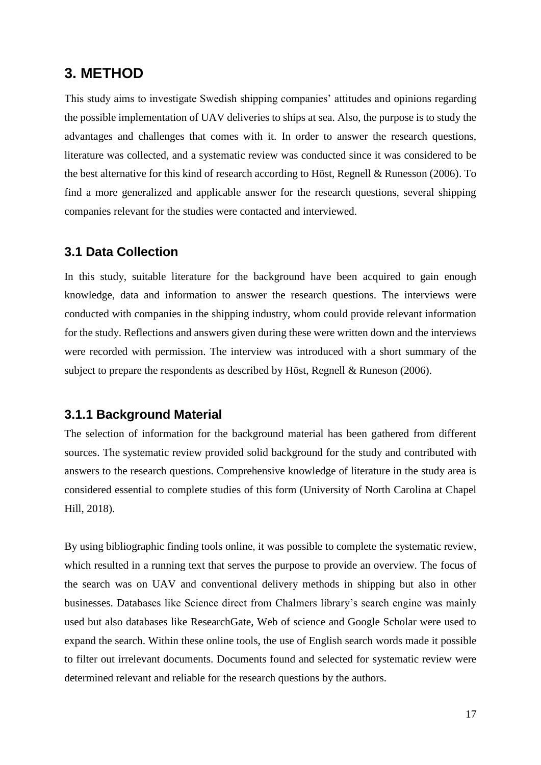### **3. METHOD**

This study aims to investigate Swedish shipping companies' attitudes and opinions regarding the possible implementation of UAV deliveries to ships at sea. Also, the purpose is to study the advantages and challenges that comes with it. In order to answer the research questions, literature was collected, and a systematic review was conducted since it was considered to be the best alternative for this kind of research according to Höst, Regnell & Runesson (2006). To find a more generalized and applicable answer for the research questions, several shipping companies relevant for the studies were contacted and interviewed.

#### **3.1 Data Collection**

In this study, suitable literature for the background have been acquired to gain enough knowledge, data and information to answer the research questions. The interviews were conducted with companies in the shipping industry, whom could provide relevant information for the study. Reflections and answers given during these were written down and the interviews were recorded with permission. The interview was introduced with a short summary of the subject to prepare the respondents as described by Höst, Regnell & Runeson (2006).

#### **3.1.1 Background Material**

The selection of information for the background material has been gathered from different sources. The systematic review provided solid background for the study and contributed with answers to the research questions. Comprehensive knowledge of literature in the study area is considered essential to complete studies of this form (University of North Carolina at Chapel Hill, 2018).

By using bibliographic finding tools online, it was possible to complete the systematic review, which resulted in a running text that serves the purpose to provide an overview. The focus of the search was on UAV and conventional delivery methods in shipping but also in other businesses. Databases like Science direct from Chalmers library's search engine was mainly used but also databases like ResearchGate, Web of science and Google Scholar were used to expand the search. Within these online tools, the use of English search words made it possible to filter out irrelevant documents. Documents found and selected for systematic review were determined relevant and reliable for the research questions by the authors.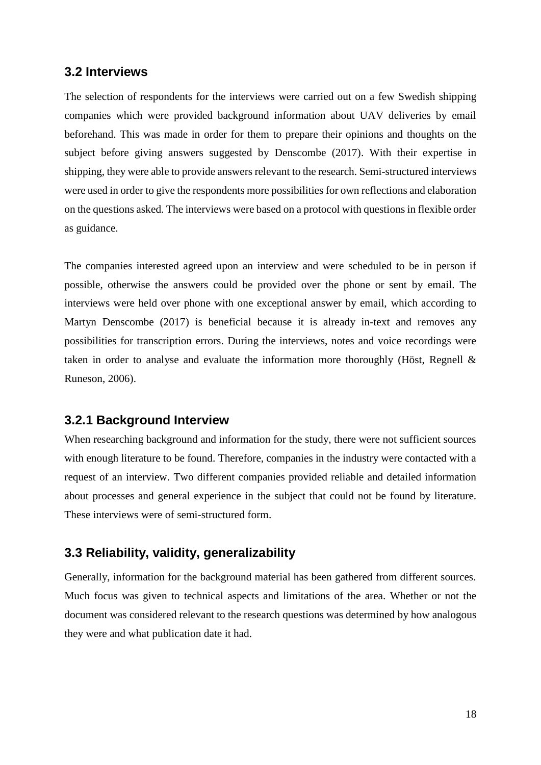#### **3.2 Interviews**

The selection of respondents for the interviews were carried out on a few Swedish shipping companies which were provided background information about UAV deliveries by email beforehand. This was made in order for them to prepare their opinions and thoughts on the subject before giving answers suggested by Denscombe (2017). With their expertise in shipping, they were able to provide answers relevant to the research. Semi-structured interviews were used in order to give the respondents more possibilities for own reflections and elaboration on the questions asked. The interviews were based on a protocol with questions in flexible order as guidance.

The companies interested agreed upon an interview and were scheduled to be in person if possible, otherwise the answers could be provided over the phone or sent by email. The interviews were held over phone with one exceptional answer by email, which according to Martyn Denscombe (2017) is beneficial because it is already in-text and removes any possibilities for transcription errors. During the interviews, notes and voice recordings were taken in order to analyse and evaluate the information more thoroughly (Höst, Regnell & Runeson, 2006).

#### **3.2.1 Background Interview**

When researching background and information for the study, there were not sufficient sources with enough literature to be found. Therefore, companies in the industry were contacted with a request of an interview. Two different companies provided reliable and detailed information about processes and general experience in the subject that could not be found by literature. These interviews were of semi-structured form.

#### **3.3 Reliability, validity, generalizability**

Generally, information for the background material has been gathered from different sources. Much focus was given to technical aspects and limitations of the area. Whether or not the document was considered relevant to the research questions was determined by how analogous they were and what publication date it had.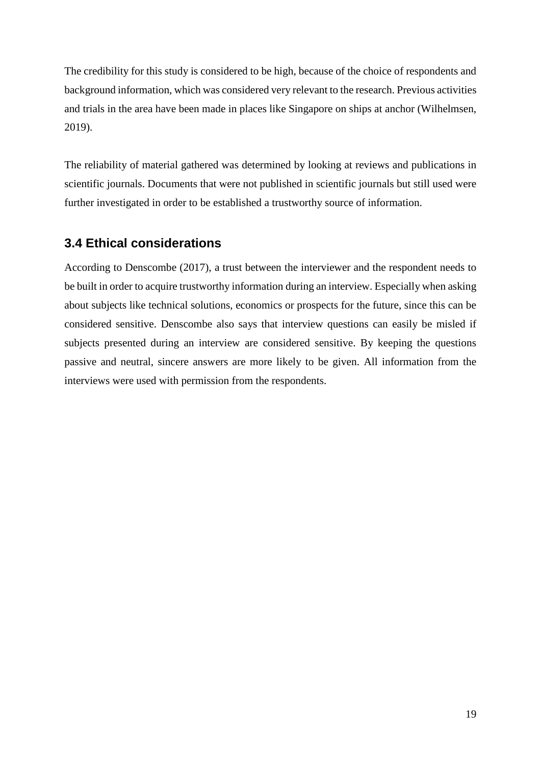The credibility for this study is considered to be high, because of the choice of respondents and background information, which was considered very relevant to the research. Previous activities and trials in the area have been made in places like Singapore on ships at anchor (Wilhelmsen, 2019).

The reliability of material gathered was determined by looking at reviews and publications in scientific journals. Documents that were not published in scientific journals but still used were further investigated in order to be established a trustworthy source of information.

### **3.4 Ethical considerations**

According to Denscombe (2017), a trust between the interviewer and the respondent needs to be built in order to acquire trustworthy information during an interview. Especially when asking about subjects like technical solutions, economics or prospects for the future, since this can be considered sensitive. Denscombe also says that interview questions can easily be misled if subjects presented during an interview are considered sensitive. By keeping the questions passive and neutral, sincere answers are more likely to be given. All information from the interviews were used with permission from the respondents.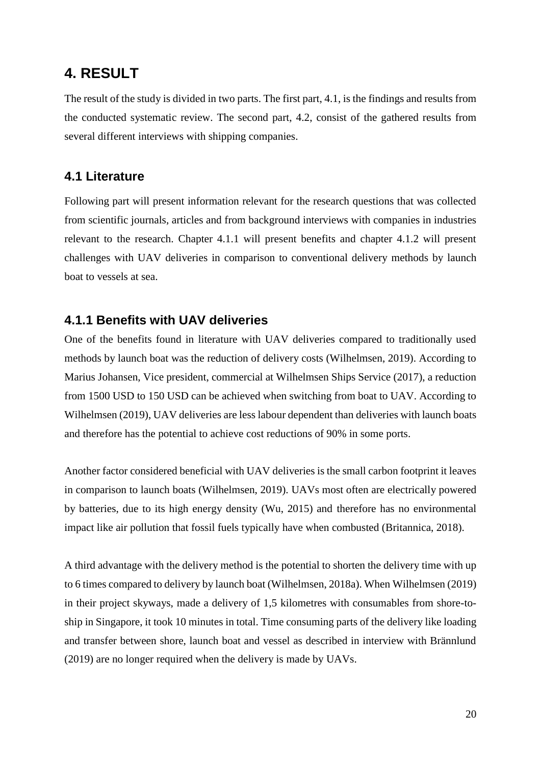## **4. RESULT**

The result of the study is divided in two parts. The first part, 4.1, is the findings and results from the conducted systematic review. The second part, 4.2, consist of the gathered results from several different interviews with shipping companies.

#### **4.1 Literature**

Following part will present information relevant for the research questions that was collected from scientific journals, articles and from background interviews with companies in industries relevant to the research. Chapter 4.1.1 will present benefits and chapter 4.1.2 will present challenges with UAV deliveries in comparison to conventional delivery methods by launch boat to vessels at sea.

#### **4.1.1 Benefits with UAV deliveries**

One of the benefits found in literature with UAV deliveries compared to traditionally used methods by launch boat was the reduction of delivery costs (Wilhelmsen, 2019). According to Marius Johansen, Vice president, commercial at Wilhelmsen Ships Service (2017), a reduction from 1500 USD to 150 USD can be achieved when switching from boat to UAV. According to Wilhelmsen (2019), UAV deliveries are less labour dependent than deliveries with launch boats and therefore has the potential to achieve cost reductions of 90% in some ports.

Another factor considered beneficial with UAV deliveries is the small carbon footprint it leaves in comparison to launch boats (Wilhelmsen, 2019). UAVs most often are electrically powered by batteries, due to its high energy density (Wu, 2015) and therefore has no environmental impact like air pollution that fossil fuels typically have when combusted (Britannica, 2018).

A third advantage with the delivery method is the potential to shorten the delivery time with up to 6 times compared to delivery by launch boat (Wilhelmsen, 2018a). When Wilhelmsen (2019) in their project skyways, made a delivery of 1,5 kilometres with consumables from shore-toship in Singapore, it took 10 minutes in total. Time consuming parts of the delivery like loading and transfer between shore, launch boat and vessel as described in interview with Brännlund (2019) are no longer required when the delivery is made by UAVs.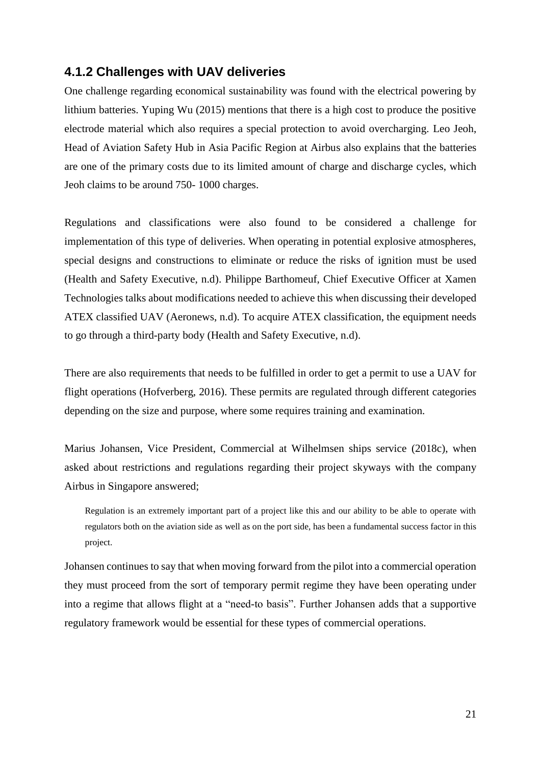#### **4.1.2 Challenges with UAV deliveries**

One challenge regarding economical sustainability was found with the electrical powering by lithium batteries. Yuping Wu (2015) mentions that there is a high cost to produce the positive electrode material which also requires a special protection to avoid overcharging. Leo Jeoh, Head of Aviation Safety Hub in Asia Pacific Region at Airbus also explains that the batteries are one of the primary costs due to its limited amount of charge and discharge cycles, which Jeoh claims to be around 750- 1000 charges.

Regulations and classifications were also found to be considered a challenge for implementation of this type of deliveries. When operating in potential explosive atmospheres, special designs and constructions to eliminate or reduce the risks of ignition must be used (Health and Safety Executive, n.d). Philippe Barthomeuf, Chief Executive Officer at Xamen Technologies talks about modifications needed to achieve this when discussing their developed ATEX classified UAV (Aeronews, n.d). To acquire ATEX classification, the equipment needs to go through a third-party body (Health and Safety Executive, n.d).

There are also requirements that needs to be fulfilled in order to get a permit to use a UAV for flight operations (Hofverberg, 2016). These permits are regulated through different categories depending on the size and purpose, where some requires training and examination.

Marius Johansen, Vice President, Commercial at Wilhelmsen ships service (2018c), when asked about restrictions and regulations regarding their project skyways with the company Airbus in Singapore answered;

Regulation is an extremely important part of a project like this and our ability to be able to operate with regulators both on the aviation side as well as on the port side, has been a fundamental success factor in this project.

Johansen continues to say that when moving forward from the pilot into a commercial operation they must proceed from the sort of temporary permit regime they have been operating under into a regime that allows flight at a "need-to basis". Further Johansen adds that a supportive regulatory framework would be essential for these types of commercial operations.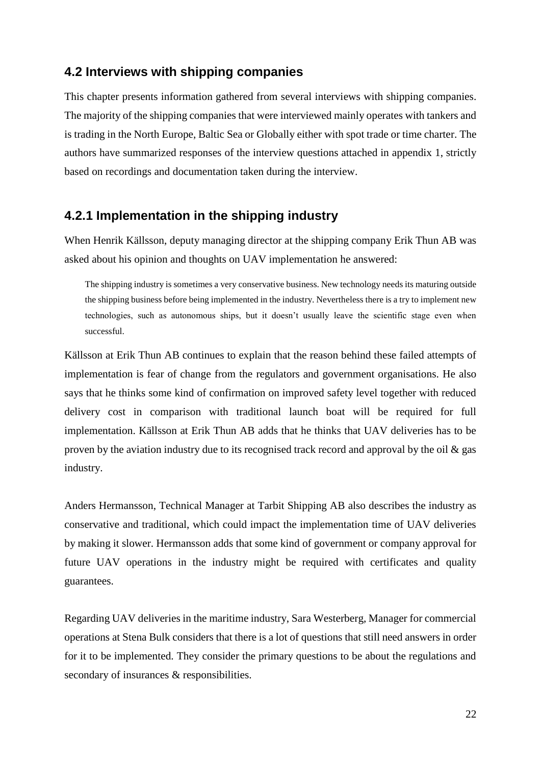#### **4.2 Interviews with shipping companies**

This chapter presents information gathered from several interviews with shipping companies. The majority of the shipping companies that were interviewed mainly operates with tankers and is trading in the North Europe, Baltic Sea or Globally either with spot trade or time charter. The authors have summarized responses of the interview questions attached in appendix 1, strictly based on recordings and documentation taken during the interview.

### **4.2.1 Implementation in the shipping industry**

When Henrik Källsson, deputy managing director at the shipping company Erik Thun AB was asked about his opinion and thoughts on UAV implementation he answered:

The shipping industry is sometimes a very conservative business. New technology needs its maturing outside the shipping business before being implemented in the industry. Nevertheless there is a try to implement new technologies, such as autonomous ships, but it doesn't usually leave the scientific stage even when successful.

Källsson at Erik Thun AB continues to explain that the reason behind these failed attempts of implementation is fear of change from the regulators and government organisations. He also says that he thinks some kind of confirmation on improved safety level together with reduced delivery cost in comparison with traditional launch boat will be required for full implementation. Källsson at Erik Thun AB adds that he thinks that UAV deliveries has to be proven by the aviation industry due to its recognised track record and approval by the oil & gas industry.

Anders Hermansson, Technical Manager at Tarbit Shipping AB also describes the industry as conservative and traditional, which could impact the implementation time of UAV deliveries by making it slower. Hermansson adds that some kind of government or company approval for future UAV operations in the industry might be required with certificates and quality guarantees.

Regarding UAV deliveries in the maritime industry, Sara Westerberg, Manager for commercial operations at Stena Bulk considers that there is a lot of questions that still need answers in order for it to be implemented. They consider the primary questions to be about the regulations and secondary of insurances & responsibilities.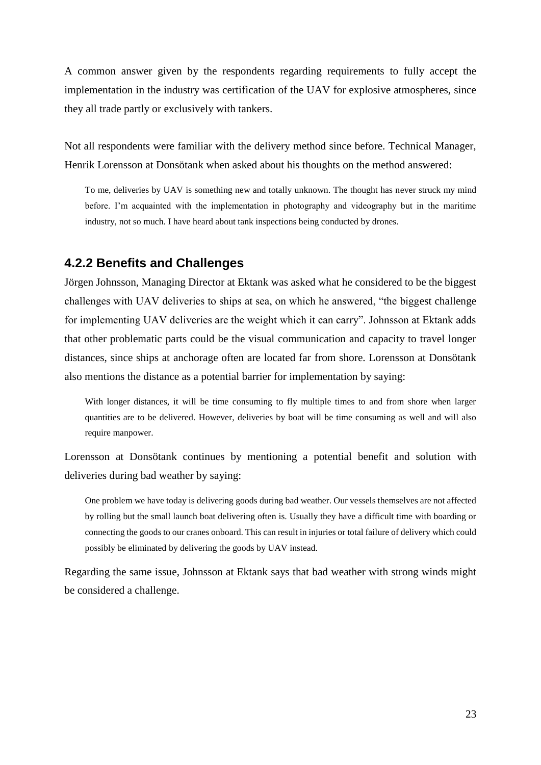A common answer given by the respondents regarding requirements to fully accept the implementation in the industry was certification of the UAV for explosive atmospheres, since they all trade partly or exclusively with tankers.

Not all respondents were familiar with the delivery method since before. Technical Manager, Henrik Lorensson at Donsötank when asked about his thoughts on the method answered:

To me, deliveries by UAV is something new and totally unknown. The thought has never struck my mind before. I'm acquainted with the implementation in photography and videography but in the maritime industry, not so much. I have heard about tank inspections being conducted by drones.

#### **4.2.2 Benefits and Challenges**

Jörgen Johnsson, Managing Director at Ektank was asked what he considered to be the biggest challenges with UAV deliveries to ships at sea, on which he answered, "the biggest challenge for implementing UAV deliveries are the weight which it can carry". Johnsson at Ektank adds that other problematic parts could be the visual communication and capacity to travel longer distances, since ships at anchorage often are located far from shore. Lorensson at Donsötank also mentions the distance as a potential barrier for implementation by saying:

With longer distances, it will be time consuming to fly multiple times to and from shore when larger quantities are to be delivered. However, deliveries by boat will be time consuming as well and will also require manpower.

Lorensson at Donsötank continues by mentioning a potential benefit and solution with deliveries during bad weather by saying:

One problem we have today is delivering goods during bad weather. Our vessels themselves are not affected by rolling but the small launch boat delivering often is. Usually they have a difficult time with boarding or connecting the goods to our cranes onboard. This can result in injuries or total failure of delivery which could possibly be eliminated by delivering the goods by UAV instead.

Regarding the same issue, Johnsson at Ektank says that bad weather with strong winds might be considered a challenge.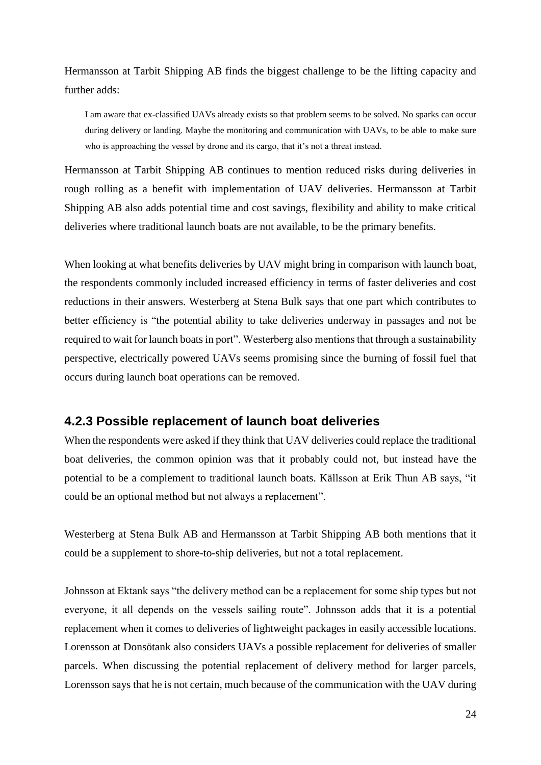Hermansson at Tarbit Shipping AB finds the biggest challenge to be the lifting capacity and further adds:

I am aware that ex-classified UAVs already exists so that problem seems to be solved. No sparks can occur during delivery or landing. Maybe the monitoring and communication with UAVs, to be able to make sure who is approaching the vessel by drone and its cargo, that it's not a threat instead.

Hermansson at Tarbit Shipping AB continues to mention reduced risks during deliveries in rough rolling as a benefit with implementation of UAV deliveries. Hermansson at Tarbit Shipping AB also adds potential time and cost savings, flexibility and ability to make critical deliveries where traditional launch boats are not available, to be the primary benefits.

When looking at what benefits deliveries by UAV might bring in comparison with launch boat, the respondents commonly included increased efficiency in terms of faster deliveries and cost reductions in their answers. Westerberg at Stena Bulk says that one part which contributes to better efficiency is "the potential ability to take deliveries underway in passages and not be required to wait for launch boats in port". Westerberg also mentions that through a sustainability perspective, electrically powered UAVs seems promising since the burning of fossil fuel that occurs during launch boat operations can be removed.

#### **4.2.3 Possible replacement of launch boat deliveries**

When the respondents were asked if they think that UAV deliveries could replace the traditional boat deliveries, the common opinion was that it probably could not, but instead have the potential to be a complement to traditional launch boats. Källsson at Erik Thun AB says, "it could be an optional method but not always a replacement".

Westerberg at Stena Bulk AB and Hermansson at Tarbit Shipping AB both mentions that it could be a supplement to shore-to-ship deliveries, but not a total replacement.

Johnsson at Ektank says "the delivery method can be a replacement for some ship types but not everyone, it all depends on the vessels sailing route". Johnsson adds that it is a potential replacement when it comes to deliveries of lightweight packages in easily accessible locations. Lorensson at Donsötank also considers UAVs a possible replacement for deliveries of smaller parcels. When discussing the potential replacement of delivery method for larger parcels, Lorensson says that he is not certain, much because of the communication with the UAV during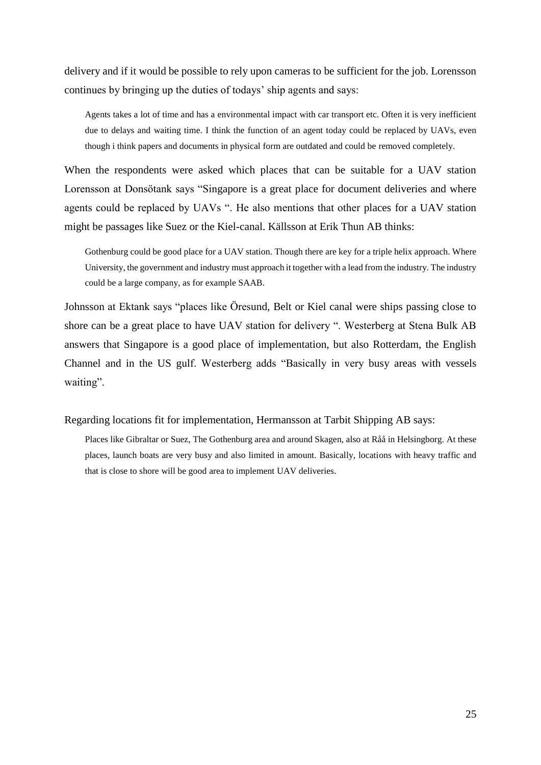delivery and if it would be possible to rely upon cameras to be sufficient for the job. Lorensson continues by bringing up the duties of todays' ship agents and says:

Agents takes a lot of time and has a environmental impact with car transport etc. Often it is very inefficient due to delays and waiting time. I think the function of an agent today could be replaced by UAVs, even though i think papers and documents in physical form are outdated and could be removed completely.

When the respondents were asked which places that can be suitable for a UAV station Lorensson at Donsötank says "Singapore is a great place for document deliveries and where agents could be replaced by UAVs ". He also mentions that other places for a UAV station might be passages like Suez or the Kiel-canal. Källsson at Erik Thun AB thinks:

Gothenburg could be good place for a UAV station. Though there are key for a triple helix approach. Where University, the government and industry must approach it together with a lead from the industry. The industry could be a large company, as for example SAAB.

Johnsson at Ektank says "places like Öresund, Belt or Kiel canal were ships passing close to shore can be a great place to have UAV station for delivery ". Westerberg at Stena Bulk AB answers that Singapore is a good place of implementation, but also Rotterdam, the English Channel and in the US gulf. Westerberg adds "Basically in very busy areas with vessels waiting".

Regarding locations fit for implementation, Hermansson at Tarbit Shipping AB says:

Places like Gibraltar or Suez, The Gothenburg area and around Skagen, also at Råå in Helsingborg. At these places, launch boats are very busy and also limited in amount. Basically, locations with heavy traffic and that is close to shore will be good area to implement UAV deliveries.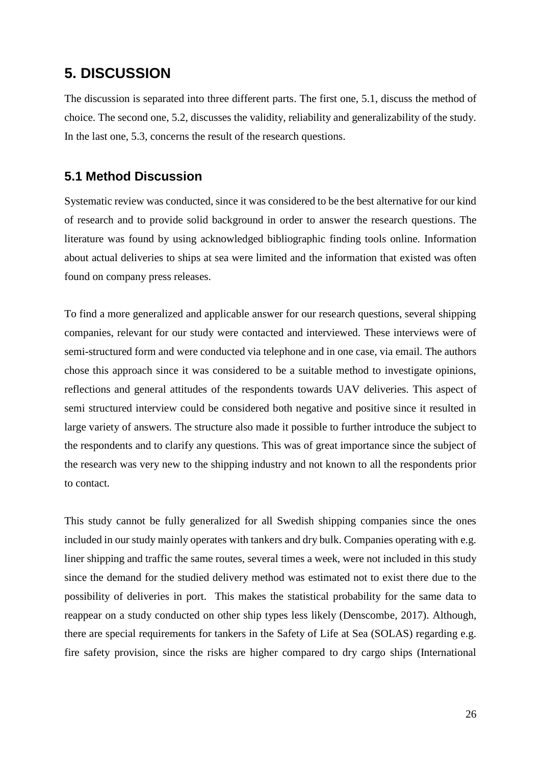### **5. DISCUSSION**

The discussion is separated into three different parts. The first one, 5.1, discuss the method of choice. The second one, 5.2, discusses the validity, reliability and generalizability of the study. In the last one, 5.3, concerns the result of the research questions.

#### **5.1 Method Discussion**

Systematic review was conducted, since it was considered to be the best alternative for our kind of research and to provide solid background in order to answer the research questions. The literature was found by using acknowledged bibliographic finding tools online. Information about actual deliveries to ships at sea were limited and the information that existed was often found on company press releases.

To find a more generalized and applicable answer for our research questions, several shipping companies, relevant for our study were contacted and interviewed. These interviews were of semi-structured form and were conducted via telephone and in one case, via email. The authors chose this approach since it was considered to be a suitable method to investigate opinions, reflections and general attitudes of the respondents towards UAV deliveries. This aspect of semi structured interview could be considered both negative and positive since it resulted in large variety of answers. The structure also made it possible to further introduce the subject to the respondents and to clarify any questions. This was of great importance since the subject of the research was very new to the shipping industry and not known to all the respondents prior to contact.

This study cannot be fully generalized for all Swedish shipping companies since the ones included in our study mainly operates with tankers and dry bulk. Companies operating with e.g. liner shipping and traffic the same routes, several times a week, were not included in this study since the demand for the studied delivery method was estimated not to exist there due to the possibility of deliveries in port. This makes the statistical probability for the same data to reappear on a study conducted on other ship types less likely (Denscombe, 2017). Although, there are special requirements for tankers in the Safety of Life at Sea (SOLAS) regarding e.g. fire safety provision, since the risks are higher compared to dry cargo ships (International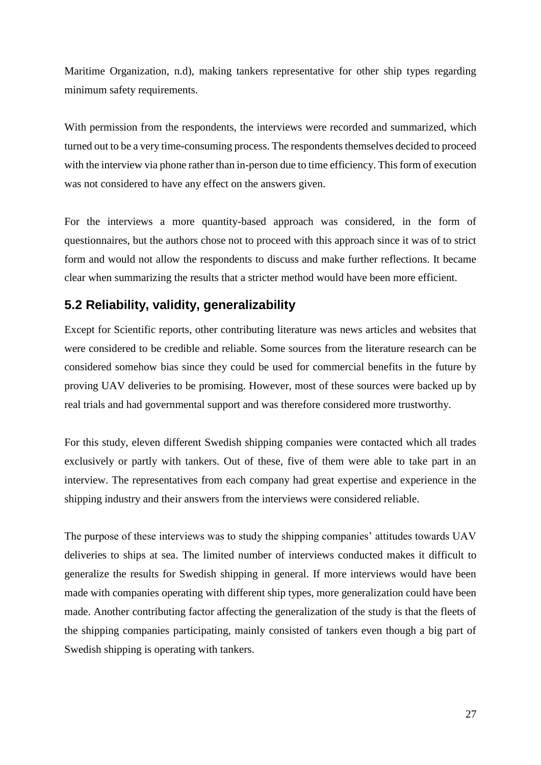Maritime Organization, n.d), making tankers representative for other ship types regarding minimum safety requirements.

With permission from the respondents, the interviews were recorded and summarized, which turned out to be a very time-consuming process. The respondents themselves decided to proceed with the interview via phone rather than in-person due to time efficiency. This form of execution was not considered to have any effect on the answers given.

For the interviews a more quantity-based approach was considered, in the form of questionnaires, but the authors chose not to proceed with this approach since it was of to strict form and would not allow the respondents to discuss and make further reflections. It became clear when summarizing the results that a stricter method would have been more efficient.

### **5.2 Reliability, validity, generalizability**

Except for Scientific reports, other contributing literature was news articles and websites that were considered to be credible and reliable. Some sources from the literature research can be considered somehow bias since they could be used for commercial benefits in the future by proving UAV deliveries to be promising. However, most of these sources were backed up by real trials and had governmental support and was therefore considered more trustworthy.

For this study, eleven different Swedish shipping companies were contacted which all trades exclusively or partly with tankers. Out of these, five of them were able to take part in an interview. The representatives from each company had great expertise and experience in the shipping industry and their answers from the interviews were considered reliable.

The purpose of these interviews was to study the shipping companies' attitudes towards UAV deliveries to ships at sea. The limited number of interviews conducted makes it difficult to generalize the results for Swedish shipping in general. If more interviews would have been made with companies operating with different ship types, more generalization could have been made. Another contributing factor affecting the generalization of the study is that the fleets of the shipping companies participating, mainly consisted of tankers even though a big part of Swedish shipping is operating with tankers.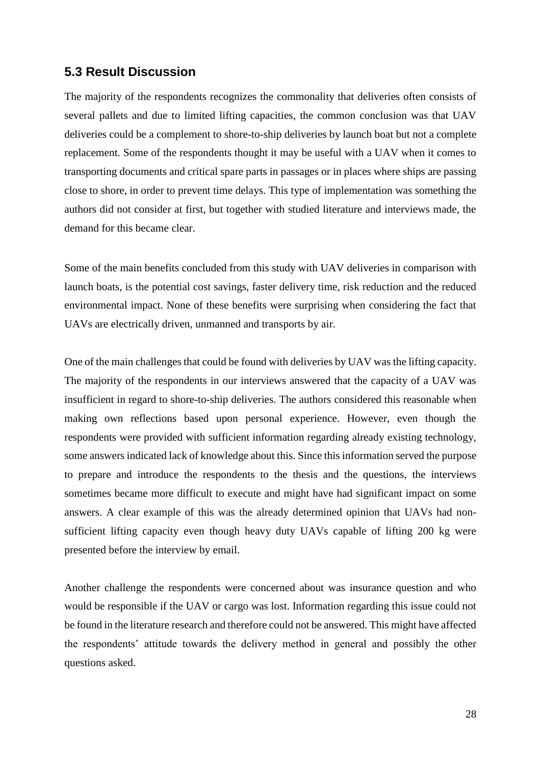#### **5.3 Result Discussion**

The majority of the respondents recognizes the commonality that deliveries often consists of several pallets and due to limited lifting capacities, the common conclusion was that UAV deliveries could be a complement to shore-to-ship deliveries by launch boat but not a complete replacement. Some of the respondents thought it may be useful with a UAV when it comes to transporting documents and critical spare parts in passages or in places where ships are passing close to shore, in order to prevent time delays. This type of implementation was something the authors did not consider at first, but together with studied literature and interviews made, the demand for this became clear.

Some of the main benefits concluded from this study with UAV deliveries in comparison with launch boats, is the potential cost savings, faster delivery time, risk reduction and the reduced environmental impact. None of these benefits were surprising when considering the fact that UAVs are electrically driven, unmanned and transports by air.

One of the main challenges that could be found with deliveries by UAV was the lifting capacity. The majority of the respondents in our interviews answered that the capacity of a UAV was insufficient in regard to shore-to-ship deliveries. The authors considered this reasonable when making own reflections based upon personal experience. However, even though the respondents were provided with sufficient information regarding already existing technology, some answers indicated lack of knowledge about this. Since this information served the purpose to prepare and introduce the respondents to the thesis and the questions, the interviews sometimes became more difficult to execute and might have had significant impact on some answers. A clear example of this was the already determined opinion that UAVs had nonsufficient lifting capacity even though heavy duty UAVs capable of lifting 200 kg were presented before the interview by email.

Another challenge the respondents were concerned about was insurance question and who would be responsible if the UAV or cargo was lost. Information regarding this issue could not be found in the literature research and therefore could not be answered. This might have affected the respondents' attitude towards the delivery method in general and possibly the other questions asked.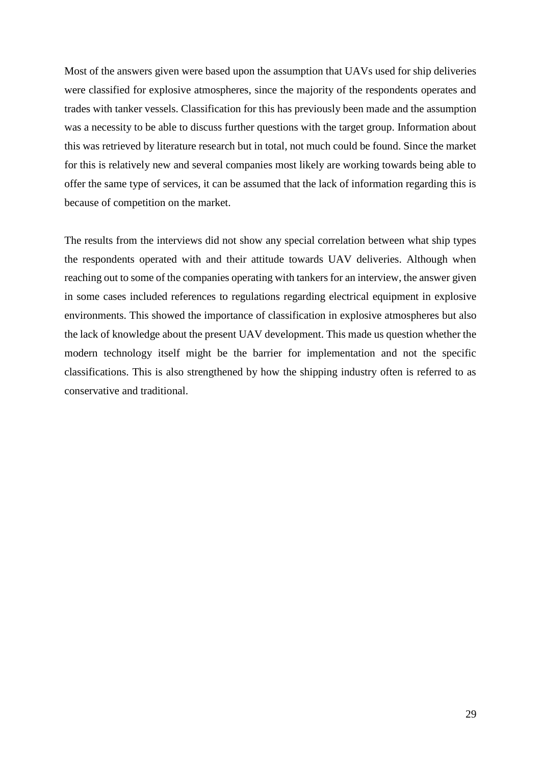Most of the answers given were based upon the assumption that UAVs used for ship deliveries were classified for explosive atmospheres, since the majority of the respondents operates and trades with tanker vessels. Classification for this has previously been made and the assumption was a necessity to be able to discuss further questions with the target group. Information about this was retrieved by literature research but in total, not much could be found. Since the market for this is relatively new and several companies most likely are working towards being able to offer the same type of services, it can be assumed that the lack of information regarding this is because of competition on the market.

The results from the interviews did not show any special correlation between what ship types the respondents operated with and their attitude towards UAV deliveries. Although when reaching out to some of the companies operating with tankers for an interview, the answer given in some cases included references to regulations regarding electrical equipment in explosive environments. This showed the importance of classification in explosive atmospheres but also the lack of knowledge about the present UAV development. This made us question whether the modern technology itself might be the barrier for implementation and not the specific classifications. This is also strengthened by how the shipping industry often is referred to as conservative and traditional.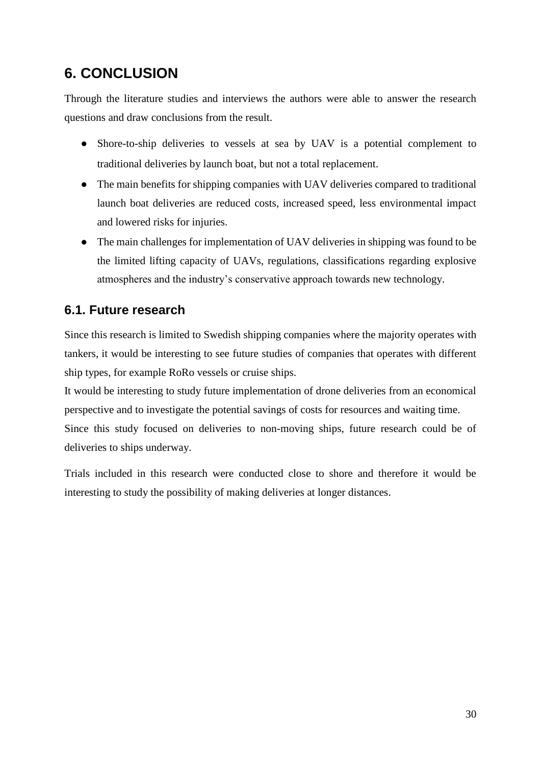## **6. CONCLUSION**

Through the literature studies and interviews the authors were able to answer the research questions and draw conclusions from the result.

- Shore-to-ship deliveries to vessels at sea by UAV is a potential complement to traditional deliveries by launch boat, but not a total replacement.
- The main benefits for shipping companies with UAV deliveries compared to traditional launch boat deliveries are reduced costs, increased speed, less environmental impact and lowered risks for injuries.
- The main challenges for implementation of UAV deliveries in shipping was found to be the limited lifting capacity of UAVs, regulations, classifications regarding explosive atmospheres and the industry's conservative approach towards new technology.

## **6.1. Future research**

Since this research is limited to Swedish shipping companies where the majority operates with tankers, it would be interesting to see future studies of companies that operates with different ship types, for example RoRo vessels or cruise ships.

It would be interesting to study future implementation of drone deliveries from an economical perspective and to investigate the potential savings of costs for resources and waiting time. Since this study focused on deliveries to non-moving ships, future research could be of deliveries to ships underway.

Trials included in this research were conducted close to shore and therefore it would be interesting to study the possibility of making deliveries at longer distances.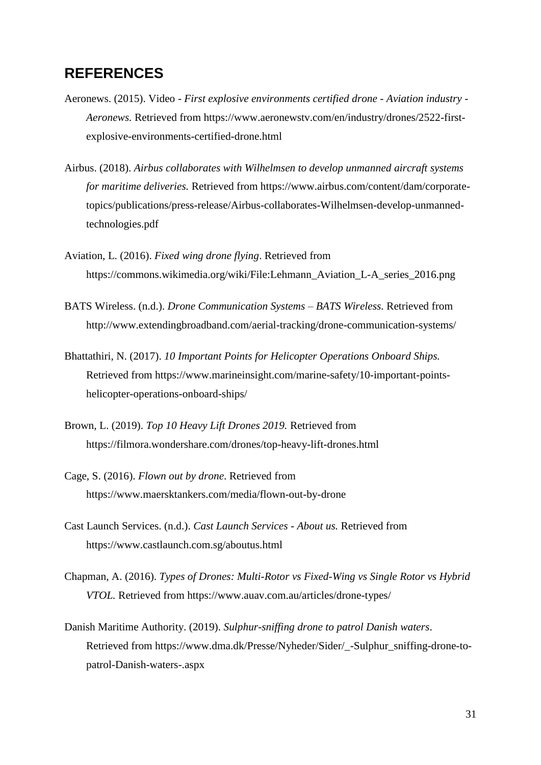### **REFERENCES**

- Aeronews. (2015). Video *First explosive environments certified drone - Aviation industry - Aeronews.* Retrieved from https://www.aeronewstv.com/en/industry/drones/2522-firstexplosive-environments-certified-drone.html
- Airbus. (2018). *Airbus collaborates with Wilhelmsen to develop unmanned aircraft systems for maritime deliveries.* Retrieved from https://www.airbus.com/content/dam/corporatetopics/publications/press-release/Airbus-collaborates-Wilhelmsen-develop-unmannedtechnologies.pdf
- Aviation, L. (2016). *Fixed wing drone flying*. Retrieved from https://commons.wikimedia.org/wiki/File:Lehmann\_Aviation\_L-A\_series\_2016.png
- BATS Wireless. (n.d.). *Drone Communication Systems – BATS Wireless.* Retrieved from http://www.extendingbroadband.com/aerial-tracking/drone-communication-systems/
- Bhattathiri, N. (2017). *10 Important Points for Helicopter Operations Onboard Ships.* Retrieved from https://www.marineinsight.com/marine-safety/10-important-pointshelicopter-operations-onboard-ships/
- Brown, L. (2019). *Top 10 Heavy Lift Drones 2019.* Retrieved from https://filmora.wondershare.com/drones/top-heavy-lift-drones.html
- Cage, S. (2016). *Flown out by drone*. Retrieved from https://www.maersktankers.com/media/flown-out-by-drone
- Cast Launch Services. (n.d.). *Cast Launch Services - About us.* Retrieved from https://www.castlaunch.com.sg/aboutus.html
- Chapman, A. (2016). *Types of Drones: Multi-Rotor vs Fixed-Wing vs Single Rotor vs Hybrid VTOL.* Retrieved from https://www.auav.com.au/articles/drone-types/
- Danish Maritime Authority. (2019). *Sulphur-sniffing drone to patrol Danish waters*. Retrieved from https://www.dma.dk/Presse/Nyheder/Sider/\_-Sulphur\_sniffing-drone-topatrol-Danish-waters-.aspx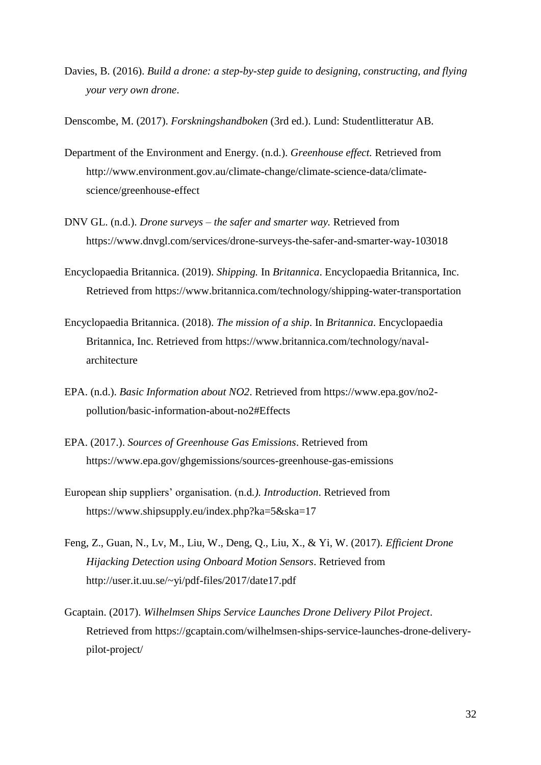Davies, B. (2016). *Build a drone: a step-by-step guide to designing, constructing, and flying your very own drone*.

Denscombe, M. (2017). *Forskningshandboken* (3rd ed.). Lund: Studentlitteratur AB.

- Department of the Environment and Energy. (n.d.). *Greenhouse effect.* Retrieved from http://www.environment.gov.au/climate-change/climate-science-data/climatescience/greenhouse-effect
- DNV GL. (n.d.). *Drone surveys – the safer and smarter way.* Retrieved from https://www.dnvgl.com/services/drone-surveys-the-safer-and-smarter-way-103018
- Encyclopaedia Britannica. (2019). *Shipping.* In *Britannica*. Encyclopaedia Britannica, Inc. Retrieved from https://www.britannica.com/technology/shipping-water-transportation
- Encyclopaedia Britannica. (2018). *The mission of a ship*. In *Britannica*. Encyclopaedia Britannica, Inc. Retrieved from https://www.britannica.com/technology/navalarchitecture
- EPA. (n.d.). *Basic Information about NO2*. Retrieved from https://www.epa.gov/no2 pollution/basic-information-about-no2#Effects
- EPA. (2017.). *Sources of Greenhouse Gas Emissions*. Retrieved from https://www.epa.gov/ghgemissions/sources-greenhouse-gas-emissions
- European ship suppliers' organisation. (n.d*.). Introduction*. Retrieved from https://www.shipsupply.eu/index.php?ka=5&ska=17
- Feng, Z., Guan, N., Lv, M., Liu, W., Deng, Q., Liu, X., & Yi, W. (2017). *Efficient Drone Hijacking Detection using Onboard Motion Sensors*. Retrieved from http://user.it.uu.se/~yi/pdf-files/2017/date17.pdf
- Gcaptain. (2017). *Wilhelmsen Ships Service Launches Drone Delivery Pilot Project*. Retrieved from https://gcaptain.com/wilhelmsen-ships-service-launches-drone-deliverypilot-project/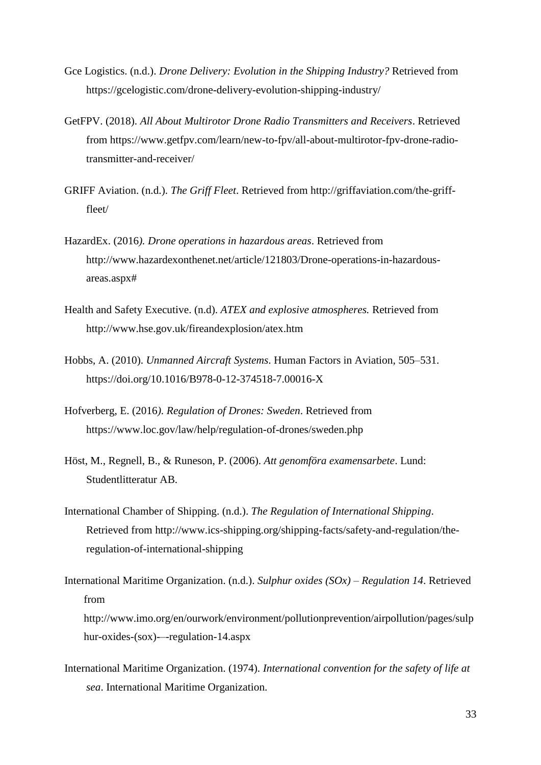- Gce Logistics. (n.d.). *Drone Delivery: Evolution in the Shipping Industry?* Retrieved from https://gcelogistic.com/drone-delivery-evolution-shipping-industry/
- GetFPV. (2018). *All About Multirotor Drone Radio Transmitters and Receivers*. Retrieved from https://www.getfpv.com/learn/new-to-fpv/all-about-multirotor-fpv-drone-radiotransmitter-and-receiver/
- GRIFF Aviation. (n.d.). *The Griff Fleet*. Retrieved from http://griffaviation.com/the-grifffleet/
- HazardEx. (2016*). Drone operations in hazardous areas*. Retrieved from http://www.hazardexonthenet.net/article/121803/Drone-operations-in-hazardousareas.aspx#
- Health and Safety Executive. (n.d). *ATEX and explosive atmospheres.* Retrieved from http://www.hse.gov.uk/fireandexplosion/atex.htm
- Hobbs, A. (2010). *Unmanned Aircraft Systems*. Human Factors in Aviation, 505–531. https://doi.org/10.1016/B978-0-12-374518-7.00016-X
- Hofverberg, E. (2016*). Regulation of Drones: Sweden*. Retrieved from https://www.loc.gov/law/help/regulation-of-drones/sweden.php
- Höst, M., Regnell, B., & Runeson, P. (2006). *Att genomföra examensarbete*. Lund: Studentlitteratur AB.
- International Chamber of Shipping. (n.d.). *The Regulation of International Shipping*. Retrieved from http://www.ics-shipping.org/shipping-facts/safety-and-regulation/theregulation-of-international-shipping
- International Maritime Organization. (n.d.). *Sulphur oxides (SOx) – Regulation 14*. Retrieved from http://www.imo.org/en/ourwork/environment/pollutionprevention/airpollution/pages/sulp hur-oxides-(sox)-–-regulation-14.aspx
- International Maritime Organization. (1974). *International convention for the safety of life at sea*. International Maritime Organization.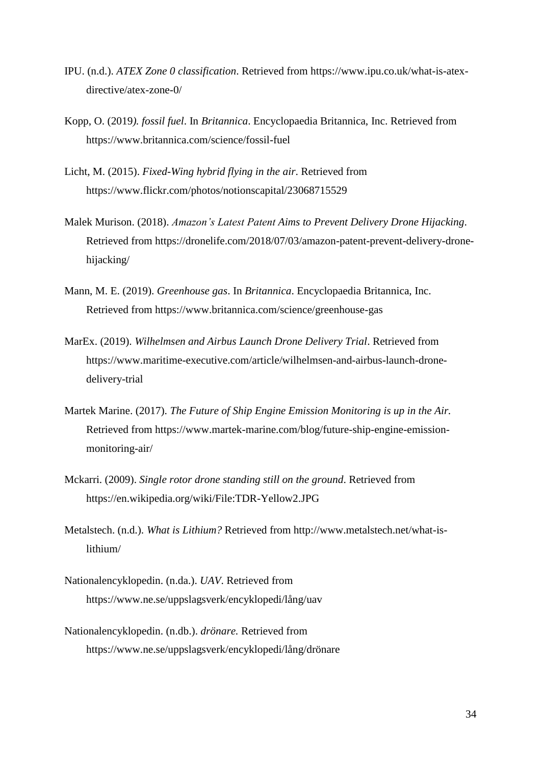- IPU. (n.d.). *ATEX Zone 0 classification*. Retrieved from https://www.ipu.co.uk/what-is-atexdirective/atex-zone-0/
- Kopp, O. (2019*). fossil fuel*. In *Britannica*. Encyclopaedia Britannica, Inc. Retrieved from https://www.britannica.com/science/fossil-fuel
- Licht, M. (2015). *Fixed-Wing hybrid flying in the air*. Retrieved from https://www.flickr.com/photos/notionscapital/23068715529
- Malek Murison. (2018). *Amazon's Latest Patent Aims to Prevent Delivery Drone Hijacking*. Retrieved from https://dronelife.com/2018/07/03/amazon-patent-prevent-delivery-dronehijacking/
- Mann, M. E. (2019). *Greenhouse gas*. In *Britannica*. Encyclopaedia Britannica, Inc. Retrieved from https://www.britannica.com/science/greenhouse-gas
- MarEx. (2019). *Wilhelmsen and Airbus Launch Drone Delivery Trial*. Retrieved from https://www.maritime-executive.com/article/wilhelmsen-and-airbus-launch-dronedelivery-trial
- Martek Marine. (2017). *The Future of Ship Engine Emission Monitoring is up in the Air.* Retrieved from https://www.martek-marine.com/blog/future-ship-engine-emissionmonitoring-air/
- Mckarri. (2009). *Single rotor drone standing still on the ground*. Retrieved from https://en.wikipedia.org/wiki/File:TDR-Yellow2.JPG
- Metalstech. (n.d.). *What is Lithium?* Retrieved from http://www.metalstech.net/what-islithium/
- Nationalencyklopedin. (n.da.). *UAV*. Retrieved from https://www.ne.se/uppslagsverk/encyklopedi/lång/uav
- Nationalencyklopedin. (n.db.). *drönare.* Retrieved from https://www.ne.se/uppslagsverk/encyklopedi/lång/drönare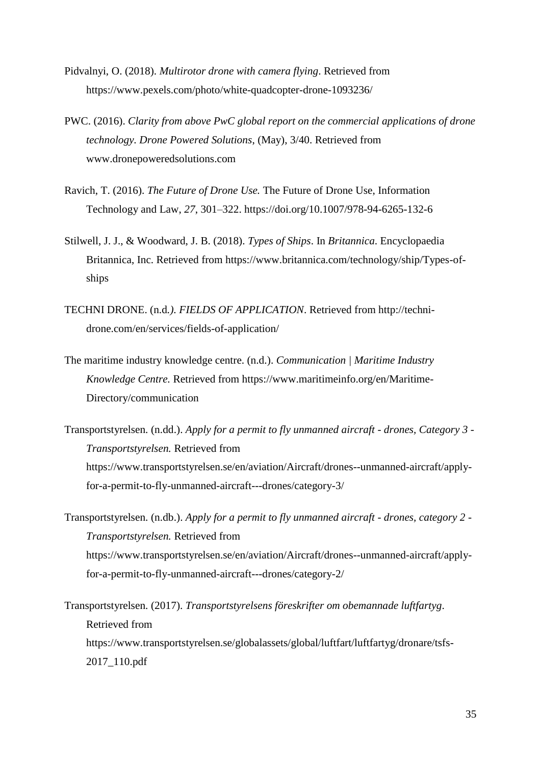- Pidvalnyi, O. (2018). *Multirotor drone with camera flying*. Retrieved from https://www.pexels.com/photo/white-quadcopter-drone-1093236/
- PWC. (2016). *Clarity from above PwC global report on the commercial applications of drone technology. Drone Powered Solutions*, (May), 3/40. Retrieved from www.dronepoweredsolutions.com
- Ravich, T. (2016). *The Future of Drone Use.* The Future of Drone Use, Information Technology and Law, *27*, 301–322. https://doi.org/10.1007/978-94-6265-132-6
- Stilwell, J. J., & Woodward, J. B. (2018). *Types of Ships*. In *Britannica*. Encyclopaedia Britannica, Inc. Retrieved from https://www.britannica.com/technology/ship/Types-ofships
- TECHNI DRONE. (n.d*.). FIELDS OF APPLICATION*. Retrieved from http://technidrone.com/en/services/fields-of-application/
- The maritime industry knowledge centre. (n.d.). *Communication | Maritime Industry Knowledge Centre.* Retrieved from https://www.maritimeinfo.org/en/Maritime-Directory/communication
- Transportstyrelsen. (n.dd.). *Apply for a permit to fly unmanned aircraft - drones, Category 3 - Transportstyrelsen.* Retrieved from https://www.transportstyrelsen.se/en/aviation/Aircraft/drones--unmanned-aircraft/applyfor-a-permit-to-fly-unmanned-aircraft---drones/category-3/
- Transportstyrelsen. (n.db.). *Apply for a permit to fly unmanned aircraft - drones, category 2 - Transportstyrelsen.* Retrieved from https://www.transportstyrelsen.se/en/aviation/Aircraft/drones--unmanned-aircraft/applyfor-a-permit-to-fly-unmanned-aircraft---drones/category-2/

Transportstyrelsen. (2017). *Transportstyrelsens föreskrifter om obemannade luftfartyg*. Retrieved from https://www.transportstyrelsen.se/globalassets/global/luftfart/luftfartyg/dronare/tsfs-2017\_110.pdf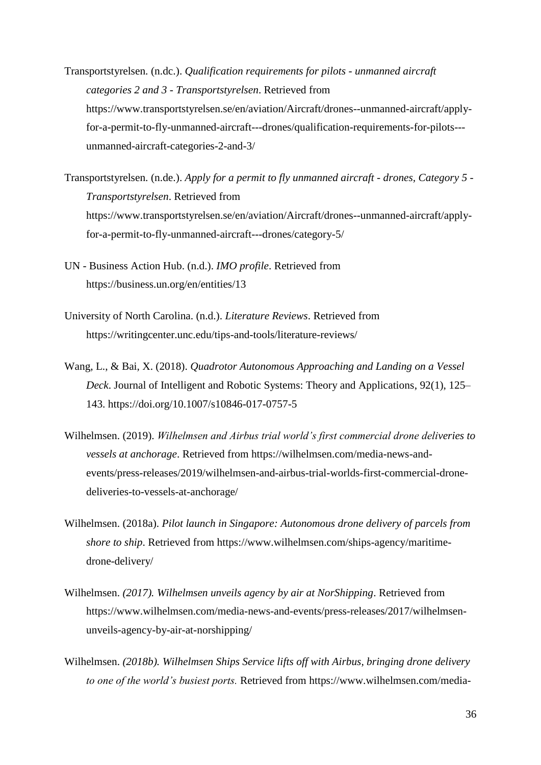- Transportstyrelsen. (n.dc.). *Qualification requirements for pilots - unmanned aircraft categories 2 and 3 - Transportstyrelsen*. Retrieved from https://www.transportstyrelsen.se/en/aviation/Aircraft/drones--unmanned-aircraft/applyfor-a-permit-to-fly-unmanned-aircraft---drones/qualification-requirements-for-pilots-- unmanned-aircraft-categories-2-and-3/
- Transportstyrelsen. (n.de.). *Apply for a permit to fly unmanned aircraft - drones, Category 5 - Transportstyrelsen*. Retrieved from https://www.transportstyrelsen.se/en/aviation/Aircraft/drones--unmanned-aircraft/applyfor-a-permit-to-fly-unmanned-aircraft---drones/category-5/
- UN Business Action Hub. (n.d.). *IMO profile*. Retrieved from https://business.un.org/en/entities/13
- University of North Carolina. (n.d.). *Literature Reviews*. Retrieved from https://writingcenter.unc.edu/tips-and-tools/literature-reviews/
- Wang, L., & Bai, X. (2018). *Quadrotor Autonomous Approaching and Landing on a Vessel Deck*. Journal of Intelligent and Robotic Systems: Theory and Applications, 92(1), 125– 143. https://doi.org/10.1007/s10846-017-0757-5
- Wilhelmsen. (2019). *Wilhelmsen and Airbus trial world's first commercial drone deliveries to vessels at anchorage*. Retrieved from https://wilhelmsen.com/media-news-andevents/press-releases/2019/wilhelmsen-and-airbus-trial-worlds-first-commercial-dronedeliveries-to-vessels-at-anchorage/
- Wilhelmsen. (2018a). *Pilot launch in Singapore: Autonomous drone delivery of parcels from shore to ship*. Retrieved from https://www.wilhelmsen.com/ships-agency/maritimedrone-delivery/
- Wilhelmsen. *(2017). Wilhelmsen unveils agency by air at NorShipping*. Retrieved from https://www.wilhelmsen.com/media-news-and-events/press-releases/2017/wilhelmsenunveils-agency-by-air-at-norshipping/
- Wilhelmsen. *(2018b). Wilhelmsen Ships Service lifts off with Airbus, bringing drone delivery to one of the world's busiest ports.* Retrieved from https://www.wilhelmsen.com/media-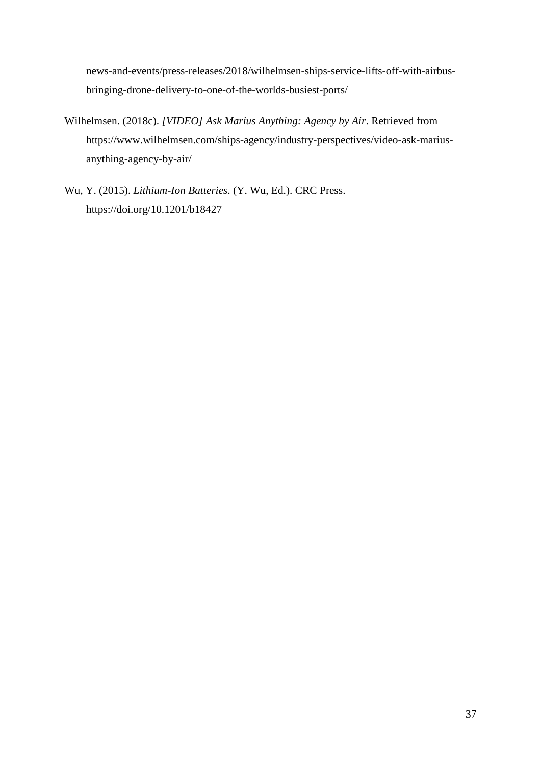news-and-events/press-releases/2018/wilhelmsen-ships-service-lifts-off-with-airbusbringing-drone-delivery-to-one-of-the-worlds-busiest-ports/

- Wilhelmsen. (2018c). *[VIDEO] Ask Marius Anything: Agency by Air*. Retrieved from https://www.wilhelmsen.com/ships-agency/industry-perspectives/video-ask-mariusanything-agency-by-air/
- Wu, Y. (2015). *Lithium-Ion Batteries*. (Y. Wu, Ed.). CRC Press. https://doi.org/10.1201/b18427